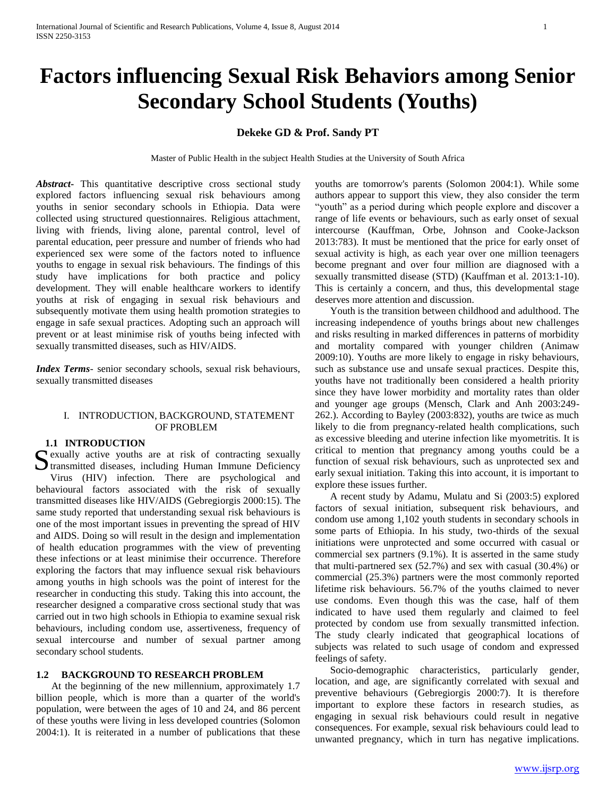# **Factors influencing Sexual Risk Behaviors among Senior Secondary School Students (Youths)**

# **Dekeke GD & Prof. Sandy PT**

Master of Public Health in the subject Health Studies at the University of South Africa

*Abstract***-** This quantitative descriptive cross sectional study explored factors influencing sexual risk behaviours among youths in senior secondary schools in Ethiopia. Data were collected using structured questionnaires. Religious attachment, living with friends, living alone, parental control, level of parental education, peer pressure and number of friends who had experienced sex were some of the factors noted to influence youths to engage in sexual risk behaviours. The findings of this study have implications for both practice and policy development. They will enable healthcare workers to identify youths at risk of engaging in sexual risk behaviours and subsequently motivate them using health promotion strategies to engage in safe sexual practices. Adopting such an approach will prevent or at least minimise risk of youths being infected with sexually transmitted diseases, such as HIV/AIDS.

*Index Terms*- senior secondary schools, sexual risk behaviours, sexually transmitted diseases

# I. INTRODUCTION, BACKGROUND, STATEMENT OF PROBLEM

#### **1.1 INTRODUCTION**

exually active youths are at risk of contracting sexually Sexually active youths are at risk of contracting sexually<br>
Stransmitted diseases, including Human Immune Deficiency Virus (HIV) infection. There are psychological and behavioural factors associated with the risk of sexually transmitted diseases like HIV/AIDS (Gebregiorgis 2000:15). The same study reported that understanding sexual risk behaviours is one of the most important issues in preventing the spread of HIV and AIDS. Doing so will result in the design and implementation of health education programmes with the view of preventing these infections or at least minimise their occurrence. Therefore exploring the factors that may influence sexual risk behaviours among youths in high schools was the point of interest for the researcher in conducting this study. Taking this into account, the researcher designed a comparative cross sectional study that was carried out in two high schools in Ethiopia to examine sexual risk behaviours, including condom use, assertiveness, frequency of sexual intercourse and number of sexual partner among secondary school students.

#### **1.2 BACKGROUND TO RESEARCH PROBLEM**

 At the beginning of the new millennium, approximately 1.7 billion people, which is more than a quarter of the world's population, were between the ages of 10 and 24, and 86 percent of these youths were living in less developed countries (Solomon 2004:1). It is reiterated in a number of publications that these youths are tomorrow's parents (Solomon 2004:1). While some authors appear to support this view, they also consider the term "youth" as a period during which people explore and discover a range of life events or behaviours, such as early onset of sexual intercourse (Kauffman, Orbe, Johnson and Cooke-Jackson 2013:783). It must be mentioned that the price for early onset of sexual activity is high, as each year over one million teenagers become pregnant and over four million are diagnosed with a sexually transmitted disease (STD) (Kauffman et al. 2013:1-10). This is certainly a concern, and thus, this developmental stage deserves more attention and discussion.

 Youth is the transition between childhood and adulthood. The increasing independence of youths brings about new challenges and risks resulting in marked differences in patterns of morbidity and mortality compared with younger children (Animaw 2009:10). Youths are more likely to engage in risky behaviours, such as substance use and unsafe sexual practices. Despite this, youths have not traditionally been considered a health priority since they have lower morbidity and mortality rates than older and younger age groups (Mensch, Clark and Anh 2003:249- 262.). According to Bayley (2003:832), youths are twice as much likely to die from pregnancy-related health complications, such as excessive bleeding and uterine infection like myometritis. It is critical to mention that pregnancy among youths could be a function of sexual risk behaviours, such as unprotected sex and early sexual initiation. Taking this into account, it is important to explore these issues further.

 A recent study by Adamu, Mulatu and Si (2003:5) explored factors of sexual initiation, subsequent risk behaviours, and condom use among 1,102 youth students in secondary schools in some parts of Ethiopia. In his study, two-thirds of the sexual initiations were unprotected and some occurred with casual or commercial sex partners (9.1%). It is asserted in the same study that multi-partnered sex (52.7%) and sex with casual (30.4%) or commercial (25.3%) partners were the most commonly reported lifetime risk behaviours. 56.7% of the youths claimed to never use condoms. Even though this was the case, half of them indicated to have used them regularly and claimed to feel protected by condom use from sexually transmitted infection. The study clearly indicated that geographical locations of subjects was related to such usage of condom and expressed feelings of safety.

 Socio-demographic characteristics, particularly gender, location, and age, are significantly correlated with sexual and preventive behaviours (Gebregiorgis 2000:7). It is therefore important to explore these factors in research studies, as engaging in sexual risk behaviours could result in negative consequences. For example, sexual risk behaviours could lead to unwanted pregnancy, which in turn has negative implications.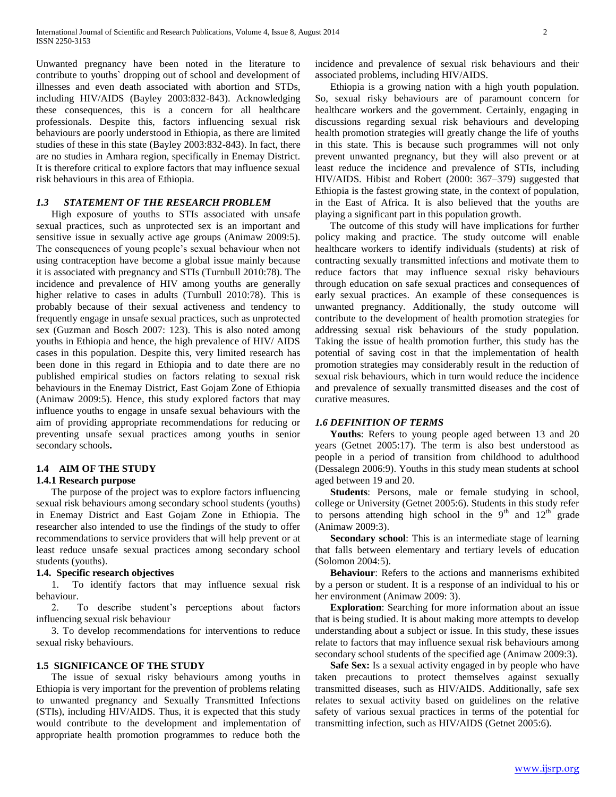Unwanted pregnancy have been noted in the literature to contribute to youths` dropping out of school and development of illnesses and even death associated with abortion and STDs, including HIV/AIDS (Bayley 2003:832-843). Acknowledging these consequences, this is a concern for all healthcare professionals. Despite this, factors influencing sexual risk behaviours are poorly understood in Ethiopia, as there are limited studies of these in this state (Bayley 2003:832-843). In fact, there are no studies in Amhara region, specifically in Enemay District. It is therefore critical to explore factors that may influence sexual risk behaviours in this area of Ethiopia.

## *1.3 STATEMENT OF THE RESEARCH PROBLEM*

 High exposure of youths to STIs associated with unsafe sexual practices, such as unprotected sex is an important and sensitive issue in sexually active age groups (Animaw 2009:5). The consequences of young people's sexual behaviour when not using contraception have become a global issue mainly because it is associated with pregnancy and STIs (Turnbull 2010:78). The incidence and prevalence of HIV among youths are generally higher relative to cases in adults (Turnbull 2010:78). This is probably because of their sexual activeness and tendency to frequently engage in unsafe sexual practices, such as unprotected sex (Guzman and Bosch 2007: 123). This is also noted among youths in Ethiopia and hence, the high prevalence of HIV/ AIDS cases in this population. Despite this, very limited research has been done in this regard in Ethiopia and to date there are no published empirical studies on factors relating to sexual risk behaviours in the Enemay District, East Gojam Zone of Ethiopia (Animaw 2009:5). Hence, this study explored factors that may influence youths to engage in unsafe sexual behaviours with the aim of providing appropriate recommendations for reducing or preventing unsafe sexual practices among youths in senior secondary schools**.**

# **1.4 AIM OF THE STUDY**

## **1.4.1 Research purpose**

 The purpose of the project was to explore factors influencing sexual risk behaviours among secondary school students (youths) in Enemay District and East Gojam Zone in Ethiopia. The researcher also intended to use the findings of the study to offer recommendations to service providers that will help prevent or at least reduce unsafe sexual practices among secondary school students (youths).

#### **1.4. Specific research objectives**

 1. To identify factors that may influence sexual risk behaviour.

 2. To describe student's perceptions about factors influencing sexual risk behaviour

 3. To develop recommendations for interventions to reduce sexual risky behaviours.

#### **1.5 SIGNIFICANCE OF THE STUDY**

 The issue of sexual risky behaviours among youths in Ethiopia is very important for the prevention of problems relating to unwanted pregnancy and Sexually Transmitted Infections (STIs), including HIV/AIDS. Thus, it is expected that this study would contribute to the development and implementation of appropriate health promotion programmes to reduce both the

incidence and prevalence of sexual risk behaviours and their associated problems, including HIV/AIDS.

 Ethiopia is a growing nation with a high youth population. So, sexual risky behaviours are of paramount concern for healthcare workers and the government. Certainly, engaging in discussions regarding sexual risk behaviours and developing health promotion strategies will greatly change the life of youths in this state. This is because such programmes will not only prevent unwanted pregnancy, but they will also prevent or at least reduce the incidence and prevalence of STIs, including HIV/AIDS. Hibist and Robert (2000: 367–379) suggested that Ethiopia is the fastest growing state, in the context of population, in the East of Africa. It is also believed that the youths are playing a significant part in this population growth.

 The outcome of this study will have implications for further policy making and practice. The study outcome will enable healthcare workers to identify individuals (students) at risk of contracting sexually transmitted infections and motivate them to reduce factors that may influence sexual risky behaviours through education on safe sexual practices and consequences of early sexual practices. An example of these consequences is unwanted pregnancy. Additionally, the study outcome will contribute to the development of health promotion strategies for addressing sexual risk behaviours of the study population. Taking the issue of health promotion further, this study has the potential of saving cost in that the implementation of health promotion strategies may considerably result in the reduction of sexual risk behaviours, which in turn would reduce the incidence and prevalence of sexually transmitted diseases and the cost of curative measures.

#### *1.6 DEFINITION OF TERMS*

 **Youths**: Refers to young people aged between 13 and 20 years (Getnet 2005:17). The term is also best understood as people in a period of transition from childhood to adulthood (Dessalegn 2006:9). Youths in this study mean students at school aged between 19 and 20.

 **Students**: Persons, male or female studying in school, college or University (Getnet 2005:6). Students in this study refer to persons attending high school in the  $9<sup>th</sup>$  and  $12<sup>th</sup>$  grade (Animaw 2009:3).

 **Secondary school**: This is an intermediate stage of learning that falls between elementary and tertiary levels of education (Solomon 2004:5).

 **Behaviour**: Refers to the actions and mannerisms exhibited by a person or student. It is a response of an individual to his or her environment (Animaw 2009: 3).

 **Exploration**: Searching for more information about an issue that is being studied. It is about making more attempts to develop understanding about a subject or issue. In this study, these issues relate to factors that may influence sexual risk behaviours among secondary school students of the specified age (Animaw 2009:3).

 **Safe Sex:** Is a sexual activity engaged in by people who have taken precautions to protect themselves against sexually transmitted diseases, such as HIV/AIDS. Additionally, safe sex relates to sexual activity based on guidelines on the relative safety of various sexual practices in terms of the potential for transmitting infection, such as HIV/AIDS (Getnet 2005:6).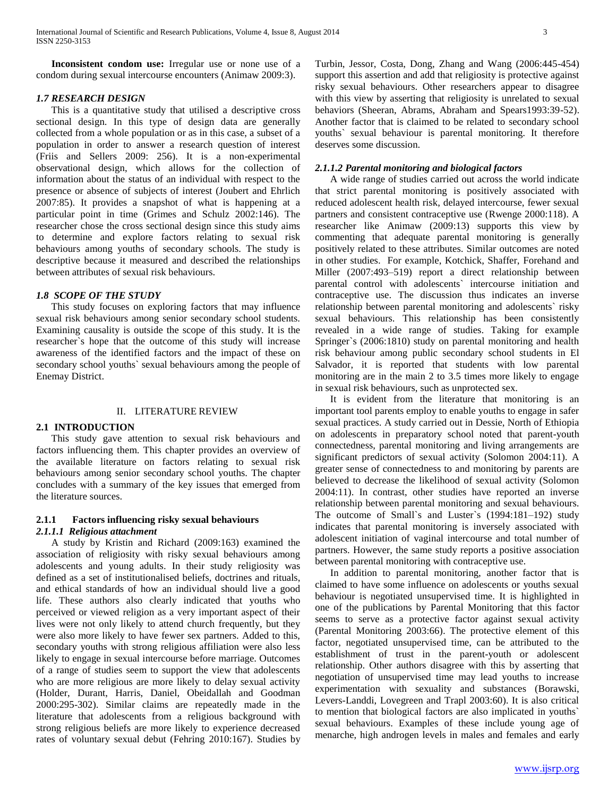**Inconsistent condom use:** Irregular use or none use of a condom during sexual intercourse encounters (Animaw 2009:3).

## *1.7 RESEARCH DESIGN*

 This is a quantitative study that utilised a descriptive cross sectional design. In this type of design data are generally collected from a whole population or as in this case, a subset of a population in order to answer a research question of interest (Friis and Sellers 2009: 256). It is a non-experimental observational design, which allows for the collection of information about the status of an individual with respect to the presence or absence of subjects of interest (Joubert and Ehrlich 2007:85). It provides a snapshot of what is happening at a particular point in time (Grimes and Schulz 2002:146). The researcher chose the cross sectional design since this study aims to determine and explore factors relating to sexual risk behaviours among youths of secondary schools. The study is descriptive because it measured and described the relationships between attributes of sexual risk behaviours.

## *1.8 SCOPE OF THE STUDY*

 This study focuses on exploring factors that may influence sexual risk behaviours among senior secondary school students. Examining causality is outside the scope of this study. It is the researcher`s hope that the outcome of this study will increase awareness of the identified factors and the impact of these on secondary school youths` sexual behaviours among the people of Enemay District.

#### II. LITERATURE REVIEW

#### **2.1 INTRODUCTION**

 This study gave attention to sexual risk behaviours and factors influencing them. This chapter provides an overview of the available literature on factors relating to sexual risk behaviours among senior secondary school youths. The chapter concludes with a summary of the key issues that emerged from the literature sources.

## **2.1.1 Factors influencing risky sexual behaviours**

## *2.1.1.1 Religious attachment*

 A study by Kristin and Richard (2009:163) examined the association of religiosity with risky sexual behaviours among adolescents and young adults. In their study religiosity was defined as a set of institutionalised beliefs, doctrines and rituals, and ethical standards of how an individual should live a good life. These authors also clearly indicated that youths who perceived or viewed religion as a very important aspect of their lives were not only likely to attend church frequently, but they were also more likely to have fewer sex partners. Added to this, secondary youths with strong religious affiliation were also less likely to engage in sexual intercourse before marriage. Outcomes of a range of studies seem to support the view that adolescents who are more religious are more likely to delay sexual activity (Holder, Durant, Harris, Daniel, Obeidallah and Goodman 2000:295-302). Similar claims are repeatedly made in the literature that adolescents from a religious background with strong religious beliefs are more likely to experience decreased rates of voluntary sexual debut (Fehring 2010:167). Studies by Turbin, Jessor, Costa, Dong, Zhang and Wang (2006:445-454) support this assertion and add that religiosity is protective against risky sexual behaviours. Other researchers appear to disagree with this view by asserting that religiosity is unrelated to sexual behaviors (Sheeran, Abrams, Abraham and Spears1993:39-52). Another factor that is claimed to be related to secondary school youths` sexual behaviour is parental monitoring. It therefore deserves some discussion.

#### *2.1.1.2 Parental monitoring and biological factors*

 A wide range of studies carried out across the world indicate that strict parental monitoring is positively associated with reduced adolescent health risk, delayed intercourse, fewer sexual partners and consistent contraceptive use (Rwenge 2000:118). A researcher like Animaw (2009:13) supports this view by commenting that adequate parental monitoring is generally positively related to these attributes. Similar outcomes are noted in other studies. For example, Kotchick, Shaffer, Forehand and Miller (2007:493–519) report a direct relationship between parental control with adolescents` intercourse initiation and contraceptive use. The discussion thus indicates an inverse relationship between parental monitoring and adolescents` risky sexual behaviours. This relationship has been consistently revealed in a wide range of studies. Taking for example Springer`s (2006:1810) study on parental monitoring and health risk behaviour among public secondary school students in El Salvador, it is reported that students with low parental monitoring are in the main 2 to 3.5 times more likely to engage in sexual risk behaviours, such as unprotected sex.

 It is evident from the literature that monitoring is an important tool parents employ to enable youths to engage in safer sexual practices. A study carried out in Dessie, North of Ethiopia on adolescents in preparatory school noted that parent-youth connectedness, parental monitoring and living arrangements are significant predictors of sexual activity (Solomon 2004:11). A greater sense of connectedness to and monitoring by parents are believed to decrease the likelihood of sexual activity (Solomon 2004:11). In contrast, other studies have reported an inverse relationship between parental monitoring and sexual behaviours. The outcome of Small`s and Luster`s (1994:181–192) study indicates that parental monitoring is inversely associated with adolescent initiation of vaginal intercourse and total number of partners. However, the same study reports a positive association between parental monitoring with contraceptive use.

 In addition to parental monitoring, another factor that is claimed to have some influence on adolescents or youths sexual behaviour is negotiated unsupervised time. It is highlighted in one of the publications by Parental Monitoring that this factor seems to serve as a protective factor against sexual activity (Parental Monitoring 2003:66). The protective element of this factor, negotiated unsupervised time, can be attributed to the establishment of trust in the parent-youth or adolescent relationship. Other authors disagree with this by asserting that negotiation of unsupervised time may lead youths to increase experimentation with sexuality and substances (Borawski, Levers-Landdi, Lovegreen and Trapl 2003:60). It is also critical to mention that biological factors are also implicated in youths` sexual behaviours. Examples of these include young age of menarche, high androgen levels in males and females and early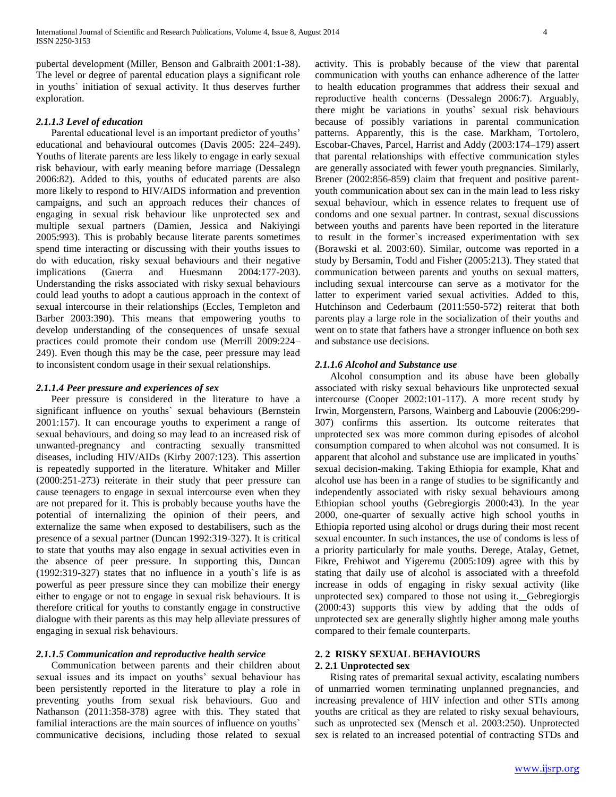pubertal development (Miller, Benson and Galbraith 2001:1-38). The level or degree of parental education plays a significant role in youths` initiation of sexual activity. It thus deserves further exploration.

#### *2.1.1.3 Level of education*

 Parental educational level is an important predictor of youths' educational and behavioural outcomes (Davis 2005: 224–249). Youths of literate parents are less likely to engage in early sexual risk behaviour, with early meaning before marriage (Dessalegn 2006:82). Added to this, youths of educated parents are also more likely to respond to HIV/AIDS information and prevention campaigns, and such an approach reduces their chances of engaging in sexual risk behaviour like unprotected sex and multiple sexual partners (Damien, Jessica and Nakiyingi 2005:993). This is probably because literate parents sometimes spend time interacting or discussing with their youths issues to do with education, risky sexual behaviours and their negative implications (Guerra and Huesmann 2004:177-203). Understanding the risks associated with risky sexual behaviours could lead youths to adopt a cautious approach in the context of sexual intercourse in their relationships (Eccles, Templeton and Barber 2003:390). This means that empowering youths to develop understanding of the consequences of unsafe sexual practices could promote their condom use (Merrill 2009:224– 249). Even though this may be the case, peer pressure may lead to inconsistent condom usage in their sexual relationships.

#### *2.1.1.4 Peer pressure and experiences of sex*

 Peer pressure is considered in the literature to have a significant influence on youths` sexual behaviours (Bernstein 2001:157). It can encourage youths to experiment a range of sexual behaviours, and doing so may lead to an increased risk of unwanted-pregnancy and contracting sexually transmitted diseases, including HIV/AIDs (Kirby 2007:123). This assertion is repeatedly supported in the literature. Whitaker and Miller (2000:251-273) reiterate in their study that peer pressure can cause teenagers to engage in sexual intercourse even when they are not prepared for it. This is probably because youths have the potential of internalizing the opinion of their peers, and externalize the same when exposed to destabilisers, such as the presence of a sexual partner (Duncan 1992:319-327). It is critical to state that youths may also engage in sexual activities even in the absence of peer pressure. In supporting this, Duncan (1992:319-327) states that no influence in a youth`s life is as powerful as peer pressure since they can mobilize their energy either to engage or not to engage in sexual risk behaviours. It is therefore critical for youths to constantly engage in constructive dialogue with their parents as this may help alleviate pressures of engaging in sexual risk behaviours.

# *2.1.1.5 Communication and reproductive health service*

 Communication between parents and their children about sexual issues and its impact on youths' sexual behaviour has been persistently reported in the literature to play a role in preventing youths from sexual risk behaviours. Guo and Nathanson (2011:358-378) agree with this. They stated that familial interactions are the main sources of influence on youths` communicative decisions, including those related to sexual

activity. This is probably because of the view that parental communication with youths can enhance adherence of the latter to health education programmes that address their sexual and reproductive health concerns (Dessalegn 2006:7). Arguably, there might be variations in youths` sexual risk behaviours because of possibly variations in parental communication patterns. Apparently, this is the case. Markham, Tortolero, Escobar-Chaves, Parcel, Harrist and Addy (2003:174–179) assert that parental relationships with effective communication styles are generally associated with fewer youth pregnancies. Similarly, Brener (2002:856-859) claim that frequent and positive parentyouth communication about sex can in the main lead to less risky sexual behaviour, which in essence relates to frequent use of condoms and one sexual partner. In contrast, sexual discussions between youths and parents have been reported in the literature to result in the former`s increased experimentation with sex (Borawski et al. 2003:60). Similar, outcome was reported in a study by Bersamin, Todd and Fisher (2005:213). They stated that communication between parents and youths on sexual matters, including sexual intercourse can serve as a motivator for the latter to experiment varied sexual activities. Added to this, Hutchinson and Cederbaum (2011:550-572) reiterat that both parents play a large role in the socialization of their youths and went on to state that fathers have a stronger influence on both sex and substance use decisions.

# *2.1.1.6 Alcohol and Substance use*

 Alcohol consumption and its abuse have been globally associated with risky sexual behaviours like unprotected sexual intercourse (Cooper 2002:101-117). A more recent study by Irwin, Morgenstern, Parsons, Wainberg and Labouvie (2006:299- 307) confirms this assertion. Its outcome reiterates that unprotected sex was more common during episodes of alcohol consumption compared to when alcohol was not consumed. It is apparent that alcohol and substance use are implicated in youths` sexual decision-making. Taking Ethiopia for example, Khat and alcohol use has been in a range of studies to be significantly and independently associated with risky sexual behaviours among Ethiopian school youths (Gebregiorgis 2000:43). In the year 2000, one-quarter of sexually active high school youths in Ethiopia reported using alcohol or drugs during their most recent sexual encounter. In such instances, the use of condoms is less of a priority particularly for male youths. Derege, Atalay, Getnet, Fikre, Frehiwot and Yigeremu (2005:109) agree with this by stating that daily use of alcohol is associated with a threefold increase in odds of engaging in risky sexual activity (like unprotected sex) compared to those not using it. Gebregiorgis (2000:43) supports this view by adding that the odds of unprotected sex are generally slightly higher among male youths compared to their female counterparts.

## **2. 2 RISKY SEXUAL BEHAVIOURS**

#### **2. 2.1 Unprotected sex**

 Rising rates of premarital sexual activity, escalating numbers of unmarried women terminating unplanned pregnancies, and increasing prevalence of HIV infection and other STIs among youths are critical as they are related to risky sexual behaviours, such as unprotected sex (Mensch et al. 2003:250). Unprotected sex is related to an increased potential of contracting STDs and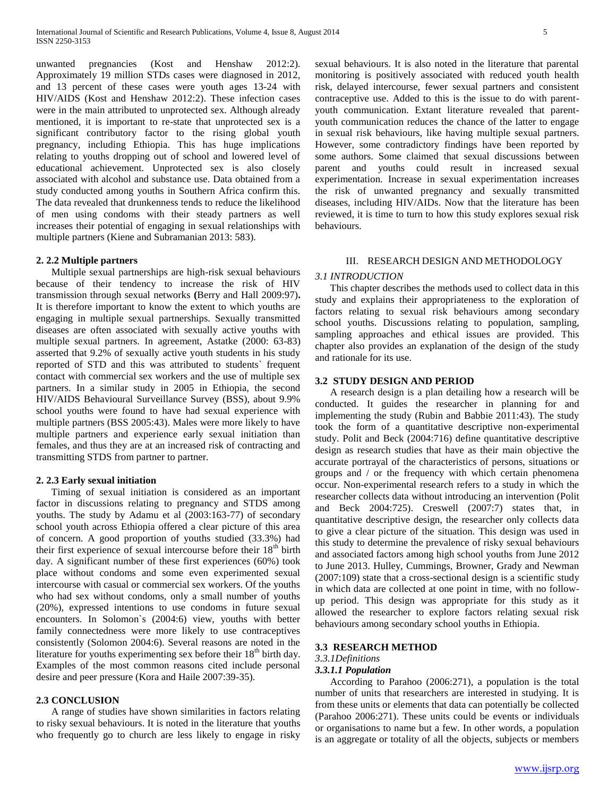unwanted pregnancies (Kost and Henshaw 2012:2). Approximately 19 million STDs cases were diagnosed in 2012, and 13 percent of these cases were youth ages 13-24 with HIV/AIDS (Kost and Henshaw 2012:2). These infection cases were in the main attributed to unprotected sex. Although already mentioned, it is important to re-state that unprotected sex is a significant contributory factor to the rising global youth pregnancy, including Ethiopia. This has huge implications relating to youths dropping out of school and lowered level of educational achievement. Unprotected sex is also closely associated with alcohol and substance use. Data obtained from a study conducted among youths in Southern Africa confirm this. The data revealed that drunkenness tends to reduce the likelihood of men using condoms with their steady partners as well increases their potential of engaging in sexual relationships with multiple partners (Kiene and Subramanian 2013: 583).

# **2. 2.2 Multiple partners**

 Multiple sexual partnerships are high-risk sexual behaviours because of their tendency to increase the risk of HIV transmission through sexual networks **(**Berry and Hall 2009:97)**.** It is therefore important to know the extent to which youths are engaging in multiple sexual partnerships. Sexually transmitted diseases are often associated with sexually active youths with multiple sexual partners. In agreement, Astatke (2000: 63-83) asserted that 9.2% of sexually active youth students in his study reported of STD and this was attributed to students` frequent contact with commercial sex workers and the use of multiple sex partners. In a similar study in 2005 in Ethiopia, the second HIV/AIDS Behavioural Surveillance Survey (BSS), about 9.9% school youths were found to have had sexual experience with multiple partners (BSS 2005:43). Males were more likely to have multiple partners and experience early sexual initiation than females, and thus they are at an increased risk of contracting and transmitting STDS from partner to partner.

#### **2. 2.3 Early sexual initiation**

 Timing of sexual initiation is considered as an important factor in discussions relating to pregnancy and STDS among youths. The study by Adamu et al (2003:163-77) of secondary school youth across Ethiopia offered a clear picture of this area of concern. A good proportion of youths studied (33.3%) had their first experience of sexual intercourse before their  $18<sup>th</sup>$  birth day. A significant number of these first experiences (60%) took place without condoms and some even experimented sexual intercourse with casual or commercial sex workers. Of the youths who had sex without condoms, only a small number of youths (20%), expressed intentions to use condoms in future sexual encounters. In Solomon`s (2004:6) view, youths with better family connectedness were more likely to use contraceptives consistently (Solomon 2004:6). Several reasons are noted in the literature for youths experimenting sex before their  $18<sup>th</sup>$  birth day. Examples of the most common reasons cited include personal desire and peer pressure (Kora and Haile 2007:39-35).

#### **2.3 CONCLUSION**

 A range of studies have shown similarities in factors relating to risky sexual behaviours. It is noted in the literature that youths who frequently go to church are less likely to engage in risky

sexual behaviours. It is also noted in the literature that parental monitoring is positively associated with reduced youth health risk, delayed intercourse, fewer sexual partners and consistent contraceptive use. Added to this is the issue to do with parentyouth communication. Extant literature revealed that parentyouth communication reduces the chance of the latter to engage in sexual risk behaviours, like having multiple sexual partners. However, some contradictory findings have been reported by some authors. Some claimed that sexual discussions between parent and youths could result in increased sexual experimentation. Increase in sexual experimentation increases the risk of unwanted pregnancy and sexually transmitted diseases, including HIV/AIDs. Now that the literature has been reviewed, it is time to turn to how this study explores sexual risk behaviours.

## III. RESEARCH DESIGN AND METHODOLOGY

#### *3.1 INTRODUCTION*

 This chapter describes the methods used to collect data in this study and explains their appropriateness to the exploration of factors relating to sexual risk behaviours among secondary school youths. Discussions relating to population, sampling, sampling approaches and ethical issues are provided. This chapter also provides an explanation of the design of the study and rationale for its use.

#### **3.2 STUDY DESIGN AND PERIOD**

 A research design is a plan detailing how a research will be conducted. It guides the researcher in planning for and implementing the study (Rubin and Babbie 2011:43). The study took the form of a quantitative descriptive non-experimental study. Polit and Beck (2004:716) define quantitative descriptive design as research studies that have as their main objective the accurate portrayal of the characteristics of persons, situations or groups and / or the frequency with which certain phenomena occur. Non-experimental research refers to a study in which the researcher collects data without introducing an intervention (Polit and Beck 2004:725). Creswell (2007:7) states that, in quantitative descriptive design, the researcher only collects data to give a clear picture of the situation. This design was used in this study to determine the prevalence of risky sexual behaviours and associated factors among high school youths from June 2012 to June 2013. Hulley, Cummings, Browner, Grady and Newman (2007:109) state that a cross-sectional design is a scientific study in which data are collected at one point in time, with no followup period. This design was appropriate for this study as it allowed the researcher to explore factors relating sexual risk behaviours among secondary school youths in Ethiopia.

#### **3.3 RESEARCH METHOD**

#### *3.3.1Definitions*

#### *3.3.1.1 Population*

 According to Parahoo (2006:271), a population is the total number of units that researchers are interested in studying. It is from these units or elements that data can potentially be collected (Parahoo 2006:271). These units could be events or individuals or organisations to name but a few. In other words, a population is an aggregate or totality of all the objects, subjects or members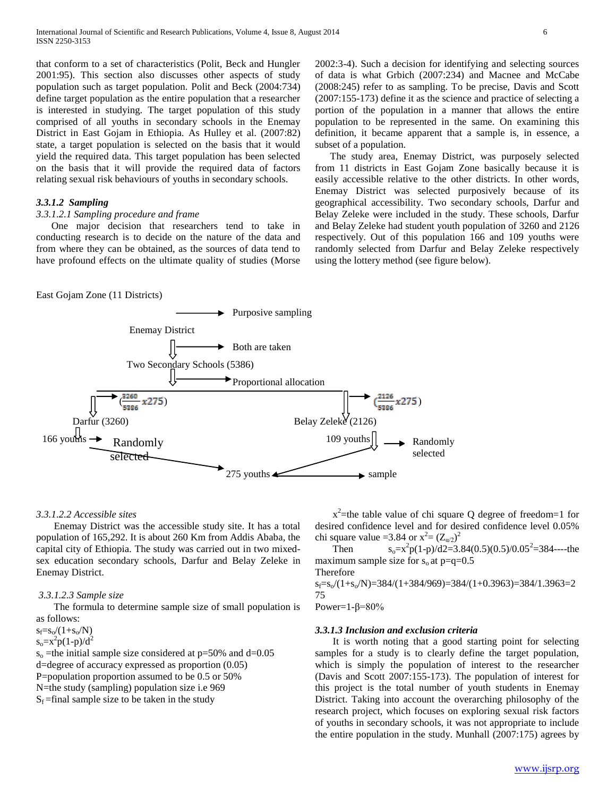that conform to a set of characteristics (Polit, Beck and Hungler 2001:95). This section also discusses other aspects of study population such as target population. Polit and Beck (2004:734) define target population as the entire population that a researcher is interested in studying. The target population of this study comprised of all youths in secondary schools in the Enemay District in East Gojam in Ethiopia. As Hulley et al. (2007:82) state, a target population is selected on the basis that it would yield the required data. This target population has been selected on the basis that it will provide the required data of factors relating sexual risk behaviours of youths in secondary schools.

# *3.3.1.2 Sampling*

#### *3.3.1.2.1 Sampling procedure and frame*

 One major decision that researchers tend to take in conducting research is to decide on the nature of the data and from where they can be obtained, as the sources of data tend to have profound effects on the ultimate quality of studies (Morse 2002:3-4). Such a decision for identifying and selecting sources of data is what Grbich (2007:234) and Macnee and McCabe (2008:245) refer to as sampling. To be precise, Davis and Scott (2007:155-173) define it as the science and practice of selecting a portion of the population in a manner that allows the entire population to be represented in the same. On examining this definition, it became apparent that a sample is, in essence, a subset of a population.

 The study area, Enemay District, was purposely selected from 11 districts in East Gojam Zone basically because it is easily accessible relative to the other districts. In other words, Enemay District was selected purposively because of its geographical accessibility. Two secondary schools, Darfur and Belay Zeleke were included in the study. These schools, Darfur and Belay Zeleke had student youth population of 3260 and 2126 respectively. Out of this population 166 and 109 youths were randomly selected from Darfur and Belay Zeleke respectively using the lottery method (see figure below).





#### *3.3.1.2.2 Accessible sites*

 Enemay District was the accessible study site. It has a total population of 165,292. It is about 260 Km from Addis Ababa, the capital city of Ethiopia. The study was carried out in two mixedsex education secondary schools, Darfur and Belay Zeleke in Enemay District.

#### *3.3.1.2.3 Sample size*

 The formula to determine sample size of small population is as follows:

 $s_f = s_o/(1 + s_o/N)$ 

 $s_0 = x^2 p(1-p)/d^2$ 

 $s_0$  =the initial sample size considered at p=50% and d=0.05 d=degree of accuracy expressed as proportion (0.05) P=population proportion assumed to be 0.5 or 50% N=the study (sampling) population size i.e 969  $S_f$ =final sample size to be taken in the study

 $x^2$ =the table value of chi square Q degree of freedom=1 for desired confidence level and for desired confidence level 0.05% chi square value = 3.84 or  $x^2 = (Z_{\alpha/2})^2$ 

Then  $^{2}p(1-p)/d2=3.84(0.5)(0.5)/0.05^{2}=384$ ----the maximum sample size for  $s_0$  at  $p=q=0.5$ 

Therefore

$$
s_f = s_o/(1+s_o/N) = 384/(1+384/969) = 384/(1+0.3963) = 384/1.3963 = 2
$$
  
\n75  
\n8  
\n9  
\n9  
\n10  
\n11.990  
\n12.900  
\n23.900  
\n24.900  
\n25.900  
\n26.900  
\n28.900  
\n29.900  
\n20.900  
\n21.900  
\n22.900  
\n23.900  
\n24.900  
\n25.900  
\n26.900  
\n28.900  
\n29.900  
\n20.900  
\n21.900  
\n22.900  
\n23.900  
\n24.900  
\n26.900  
\n28.900  
\n29.900  
\n29.900  
\n20.900  
\n21.900  
\n22.900  
\n24.900  
\n25.900  
\n26.900  
\n28.900  
\n29.900  
\n20.900  
\n21.900  
\n22.900  
\n23.900  
\n24.900  
\n25.900  
\n26.900  
\n28.900  
\n29.900  
\n20.900  
\n21.900  
\n22.900  
\n24.900  
\n25.900  
\n26.900  
\n28.900  
\n29.900  
\n20.900  
\n21.900  
\n22.900  
\n24.900  
\n25.900  
\n26.900  
\n28.900  
\n29.900  
\n29.900  
\n20.900  
\n20.900  
\n20.900  
\n20.900  
\n20.900  
\n20.900  
\n20.900  
\n20.900  
\n20.900  
\n20.900  
\n20.900  
\n20.900  
\n20.900  
\n20.900  
\n20.900  
\n20.

#### Power= $1-\beta=80\%$

#### *3.3.1.3 Inclusion and exclusion criteria*

 It is worth noting that a good starting point for selecting samples for a study is to clearly define the target population, which is simply the population of interest to the researcher (Davis and Scott 2007:155-173). The population of interest for this project is the total number of youth students in Enemay District. Taking into account the overarching philosophy of the research project, which focuses on exploring sexual risk factors of youths in secondary schools, it was not appropriate to include the entire population in the study. Munhall (2007:175) agrees by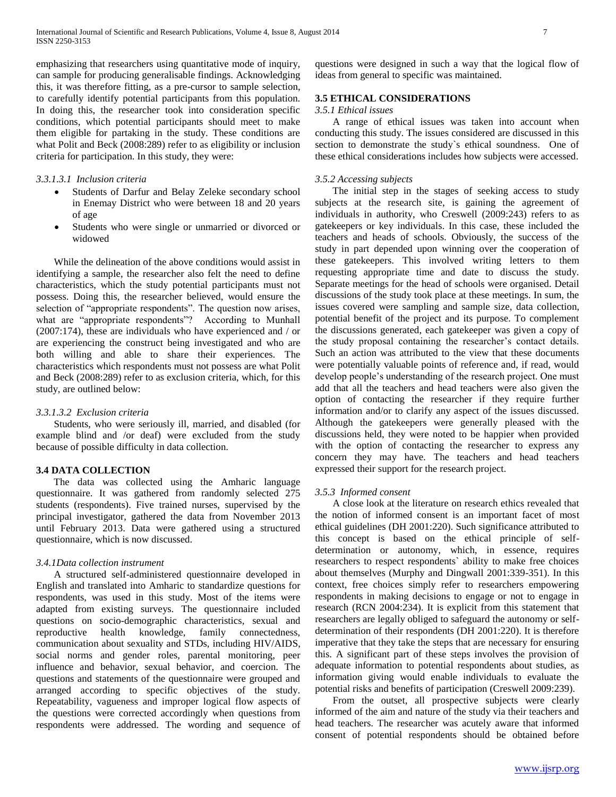emphasizing that researchers using quantitative mode of inquiry, can sample for producing generalisable findings. Acknowledging this, it was therefore fitting, as a pre-cursor to sample selection, to carefully identify potential participants from this population. In doing this, the researcher took into consideration specific conditions, which potential participants should meet to make them eligible for partaking in the study. These conditions are what Polit and Beck (2008:289) refer to as eligibility or inclusion criteria for participation. In this study, they were:

#### *3.3.1.3.1 Inclusion criteria*

- Students of Darfur and Belay Zeleke secondary school in Enemay District who were between 18 and 20 years of age
- Students who were single or unmarried or divorced or widowed

 While the delineation of the above conditions would assist in identifying a sample, the researcher also felt the need to define characteristics, which the study potential participants must not possess. Doing this, the researcher believed, would ensure the selection of "appropriate respondents". The question now arises, what are "appropriate respondents"? According to Munhall (2007:174), these are individuals who have experienced and / or are experiencing the construct being investigated and who are both willing and able to share their experiences. The characteristics which respondents must not possess are what Polit and Beck (2008:289) refer to as exclusion criteria, which, for this study, are outlined below:

#### *3.3.1.3.2 Exclusion criteria*

 Students, who were seriously ill, married, and disabled (for example blind and /or deaf) were excluded from the study because of possible difficulty in data collection.

## **3.4 DATA COLLECTION**

 The data was collected using the Amharic language questionnaire. It was gathered from randomly selected 275 students (respondents). Five trained nurses, supervised by the principal investigator, gathered the data from November 2013 until February 2013. Data were gathered using a structured questionnaire, which is now discussed.

#### *3.4.1Data collection instrument*

 A structured self-administered questionnaire developed in English and translated into Amharic to standardize questions for respondents, was used in this study. Most of the items were adapted from existing surveys. The questionnaire included questions on socio-demographic characteristics, sexual and reproductive health knowledge, family connectedness, communication about sexuality and STDs, including HIV/AIDS, social norms and gender roles, parental monitoring, peer influence and behavior, sexual behavior, and coercion. The questions and statements of the questionnaire were grouped and arranged according to specific objectives of the study. Repeatability, vagueness and improper logical flow aspects of the questions were corrected accordingly when questions from respondents were addressed. The wording and sequence of

questions were designed in such a way that the logical flow of ideas from general to specific was maintained.

# **3.5 ETHICAL CONSIDERATIONS**

# *3.5.1 Ethical issues*

 A range of ethical issues was taken into account when conducting this study. The issues considered are discussed in this section to demonstrate the study`s ethical soundness. One of these ethical considerations includes how subjects were accessed.

#### *3.5.2 Accessing subjects*

 The initial step in the stages of seeking access to study subjects at the research site, is gaining the agreement of individuals in authority, who Creswell (2009:243) refers to as gatekeepers or key individuals. In this case, these included the teachers and heads of schools. Obviously, the success of the study in part depended upon winning over the cooperation of these gatekeepers. This involved writing letters to them requesting appropriate time and date to discuss the study. Separate meetings for the head of schools were organised. Detail discussions of the study took place at these meetings. In sum, the issues covered were sampling and sample size, data collection, potential benefit of the project and its purpose. To complement the discussions generated, each gatekeeper was given a copy of the study proposal containing the researcher's contact details. Such an action was attributed to the view that these documents were potentially valuable points of reference and, if read, would develop people's understanding of the research project. One must add that all the teachers and head teachers were also given the option of contacting the researcher if they require further information and/or to clarify any aspect of the issues discussed. Although the gatekeepers were generally pleased with the discussions held, they were noted to be happier when provided with the option of contacting the researcher to express any concern they may have. The teachers and head teachers expressed their support for the research project.

#### *3.5.3 Informed consent*

 A close look at the literature on research ethics revealed that the notion of informed consent is an important facet of most ethical guidelines (DH 2001:220). Such significance attributed to this concept is based on the ethical principle of selfdetermination or autonomy, which, in essence, requires researchers to respect respondents` ability to make free choices about themselves (Murphy and Dingwall 2001:339-351). In this context, free choices simply refer to researchers empowering respondents in making decisions to engage or not to engage in research (RCN 2004:234). It is explicit from this statement that researchers are legally obliged to safeguard the autonomy or selfdetermination of their respondents (DH 2001:220). It is therefore imperative that they take the steps that are necessary for ensuring this. A significant part of these steps involves the provision of adequate information to potential respondents about studies, as information giving would enable individuals to evaluate the potential risks and benefits of participation (Creswell 2009:239).

 From the outset, all prospective subjects were clearly informed of the aim and nature of the study via their teachers and head teachers. The researcher was acutely aware that informed consent of potential respondents should be obtained before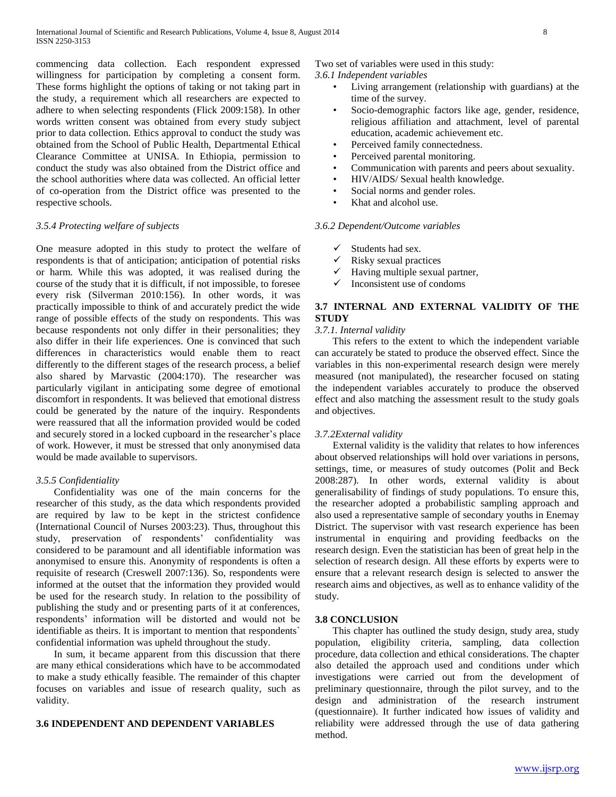commencing data collection. Each respondent expressed willingness for participation by completing a consent form. These forms highlight the options of taking or not taking part in the study, a requirement which all researchers are expected to adhere to when selecting respondents (Flick 2009:158). In other words written consent was obtained from every study subject prior to data collection. Ethics approval to conduct the study was obtained from the School of Public Health, Departmental Ethical Clearance Committee at UNISA. In Ethiopia, permission to conduct the study was also obtained from the District office and the school authorities where data was collected. An official letter of co-operation from the District office was presented to the respective schools.

## *3.5.4 Protecting welfare of subjects*

One measure adopted in this study to protect the welfare of respondents is that of anticipation; anticipation of potential risks or harm. While this was adopted, it was realised during the course of the study that it is difficult, if not impossible, to foresee every risk (Silverman 2010:156). In other words, it was practically impossible to think of and accurately predict the wide range of possible effects of the study on respondents. This was because respondents not only differ in their personalities; they also differ in their life experiences. One is convinced that such differences in characteristics would enable them to react differently to the different stages of the research process, a belief also shared by Marvastic (2004:170). The researcher was particularly vigilant in anticipating some degree of emotional discomfort in respondents. It was believed that emotional distress could be generated by the nature of the inquiry. Respondents were reassured that all the information provided would be coded and securely stored in a locked cupboard in the researcher's place of work. However, it must be stressed that only anonymised data would be made available to supervisors.

## *3.5.5 Confidentiality*

 Confidentiality was one of the main concerns for the researcher of this study, as the data which respondents provided are required by law to be kept in the strictest confidence (International Council of Nurses 2003:23). Thus, throughout this study, preservation of respondents' confidentiality was considered to be paramount and all identifiable information was anonymised to ensure this. Anonymity of respondents is often a requisite of research (Creswell 2007:136). So, respondents were informed at the outset that the information they provided would be used for the research study. In relation to the possibility of publishing the study and or presenting parts of it at conferences, respondents' information will be distorted and would not be identifiable as theirs. It is important to mention that respondents` confidential information was upheld throughout the study.

 In sum, it became apparent from this discussion that there are many ethical considerations which have to be accommodated to make a study ethically feasible. The remainder of this chapter focuses on variables and issue of research quality, such as validity.

#### **3.6 INDEPENDENT AND DEPENDENT VARIABLES**

Two set of variables were used in this study:

# *3.6.1 Independent variables*

- Living arrangement (relationship with guardians) at the time of the survey.
- Socio-demographic factors like age, gender, residence, religious affiliation and attachment, level of parental education, academic achievement etc.
- Perceived family connectedness.
- Perceived parental monitoring.
- Communication with parents and peers about sexuality.
- HIV/AIDS/ Sexual health knowledge.
- Social norms and gender roles.
- Khat and alcohol use.

#### *3.6.2 Dependent/Outcome variables*

- $\checkmark$  Students had sex.
- $\checkmark$  Risky sexual practices
- $\checkmark$  Having multiple sexual partner,
- $\checkmark$  Inconsistent use of condoms

# **3.7 INTERNAL AND EXTERNAL VALIDITY OF THE STUDY**

# *3.7.1. Internal validity*

 This refers to the extent to which the independent variable can accurately be stated to produce the observed effect. Since the variables in this non-experimental research design were merely measured (not manipulated), the researcher focused on stating the independent variables accurately to produce the observed effect and also matching the assessment result to the study goals and objectives.

#### *3.7.2External validity*

 External validity is the validity that relates to how inferences about observed relationships will hold over variations in persons, settings, time, or measures of study outcomes (Polit and Beck 2008:287). In other words, external validity is about generalisability of findings of study populations. To ensure this, the researcher adopted a probabilistic sampling approach and also used a representative sample of secondary youths in Enemay District. The supervisor with vast research experience has been instrumental in enquiring and providing feedbacks on the research design. Even the statistician has been of great help in the selection of research design. All these efforts by experts were to ensure that a relevant research design is selected to answer the research aims and objectives, as well as to enhance validity of the study.

#### **3.8 CONCLUSION**

 This chapter has outlined the study design, study area, study population, eligibility criteria, sampling, data collection procedure, data collection and ethical considerations. The chapter also detailed the approach used and conditions under which investigations were carried out from the development of preliminary questionnaire, through the pilot survey, and to the design and administration of the research instrument (questionnaire). It further indicated how issues of validity and reliability were addressed through the use of data gathering method.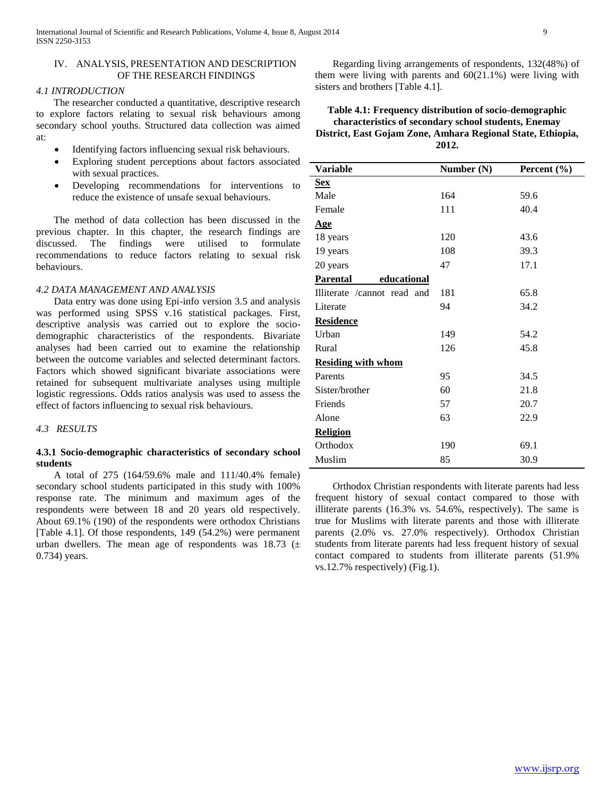## IV. ANALYSIS, PRESENTATION AND DESCRIPTION OF THE RESEARCH FINDINGS

#### *4.1 INTRODUCTION*

 The researcher conducted a quantitative, descriptive research to explore factors relating to sexual risk behaviours among secondary school youths. Structured data collection was aimed at:

- Identifying factors influencing sexual risk behaviours.
- Exploring student perceptions about factors associated with sexual practices.
- Developing recommendations for interventions to reduce the existence of unsafe sexual behaviours.

 The method of data collection has been discussed in the previous chapter. In this chapter, the research findings are discussed. The findings were utilised to formulate recommendations to reduce factors relating to sexual risk behaviours.

#### *4.2 DATA MANAGEMENT AND ANALYSIS*

 Data entry was done using Epi-info version 3.5 and analysis was performed using SPSS v.16 statistical packages. First, descriptive analysis was carried out to explore the sociodemographic characteristics of the respondents. Bivariate analyses had been carried out to examine the relationship between the outcome variables and selected determinant factors. Factors which showed significant bivariate associations were retained for subsequent multivariate analyses using multiple logistic regressions. Odds ratios analysis was used to assess the effect of factors influencing to sexual risk behaviours.

*4.3 RESULTS*

## **4.3.1 Socio-demographic characteristics of secondary school students**

 A total of 275 (164/59.6% male and 111/40.4% female) secondary school students participated in this study with 100% response rate. The minimum and maximum ages of the respondents were between 18 and 20 years old respectively. About 69.1% (190) of the respondents were orthodox Christians [Table 4.1]. Of those respondents, 149 (54.2%) were permanent urban dwellers. The mean age of respondents was 18.73 ( $\pm$ 0.734) years.

 Regarding living arrangements of respondents, 132(48%) of them were living with parents and 60(21.1%) were living with sisters and brothers [Table 4.1].

# **Table 4.1: Frequency distribution of socio-demographic characteristics of secondary school students, Enemay District, East Gojam Zone, Amhara Regional State, Ethiopia, 2012.**

| <b>Variable</b>                | Number (N) | Percent (%) |
|--------------------------------|------------|-------------|
| <b>Sex</b>                     |            |             |
| Male                           | 164        | 59.6        |
| Female                         | 111        | 40.4        |
| <u>Age</u>                     |            |             |
| 18 years                       | 120        | 43.6        |
| 19 years                       | 108        | 39.3        |
| 20 years                       | 47         | 17.1        |
| <b>Parental</b><br>educational |            |             |
| Illiterate /cannot read and    | 181        | 65.8        |
| Literate                       | 94         | 34.2        |
| <b>Residence</b>               |            |             |
| Urban                          | 149        | 54.2        |
| Rural                          | 126        | 45.8        |
| <b>Residing with whom</b>      |            |             |
| Parents                        | 95         | 34.5        |
| Sister/brother                 | 60         | 21.8        |
| Friends                        | 57         | 20.7        |
| Alone                          | 63         | 22.9        |
| <b>Religion</b>                |            |             |
| Orthodox                       | 190        | 69.1        |
| Muslim                         | 85         | 30.9        |

 Orthodox Christian respondents with literate parents had less frequent history of sexual contact compared to those with illiterate parents (16.3% vs. 54.6%, respectively). The same is true for Muslims with literate parents and those with illiterate parents (2.0% vs. 27.0% respectively). Orthodox Christian students from literate parents had less frequent history of sexual contact compared to students from illiterate parents (51.9% vs.12.7% respectively) (Fig.1).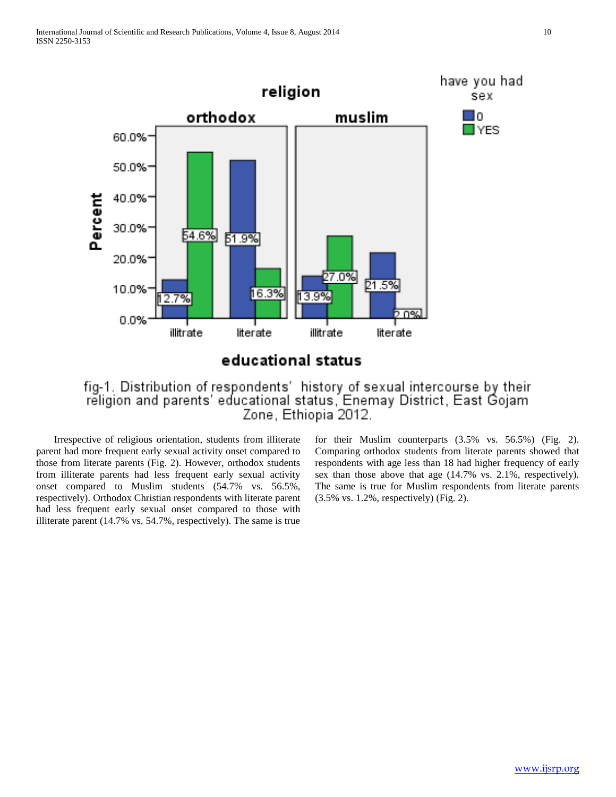

educational status

# fig-1. Distribution of respondents' history of sexual intercourse by their<br>religion and parents' educational status, Enemay District, East Gojam Zone, Ethiopia 2012.

 Irrespective of religious orientation, students from illiterate parent had more frequent early sexual activity onset compared to those from literate parents (Fig. 2). However, orthodox students from illiterate parents had less frequent early sexual activity onset compared to Muslim students (54.7% vs. 56.5%, respectively). Orthodox Christian respondents with literate parent had less frequent early sexual onset compared to those with illiterate parent (14.7% vs. 54.7%, respectively). The same is true

for their Muslim counterparts (3.5% vs. 56.5%) (Fig. 2). Comparing orthodox students from literate parents showed that respondents with age less than 18 had higher frequency of early sex than those above that age (14.7% vs. 2.1%, respectively). The same is true for Muslim respondents from literate parents (3.5% vs. 1.2%, respectively) (Fig. 2).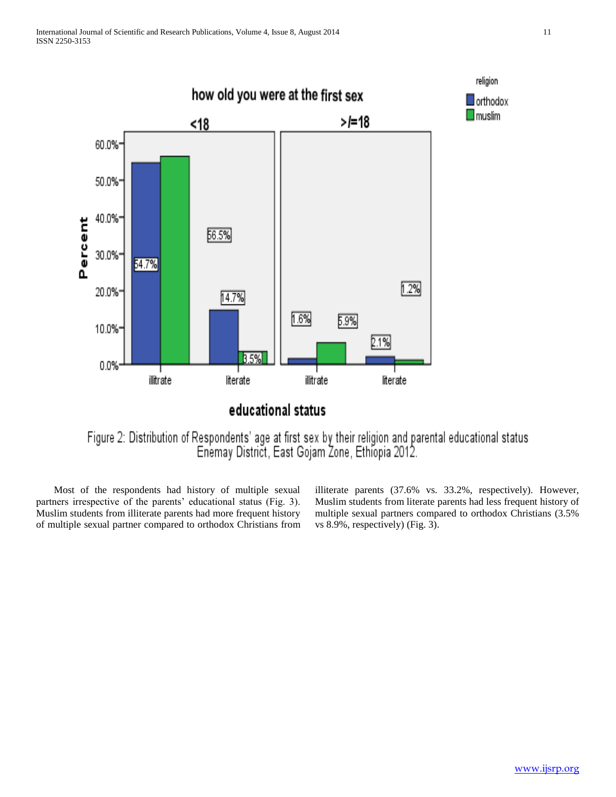

Figure 2: Distribution of Respondents' age at first sex by their religion and parental educational status<br>Enemay District, East Gojam Zone, Ethiopia 2012.

 Most of the respondents had history of multiple sexual partners irrespective of the parents' educational status (Fig. 3). Muslim students from illiterate parents had more frequent history of multiple sexual partner compared to orthodox Christians from illiterate parents (37.6% vs. 33.2%, respectively). However, Muslim students from literate parents had less frequent history of multiple sexual partners compared to orthodox Christians (3.5% vs 8.9%, respectively) (Fig. 3).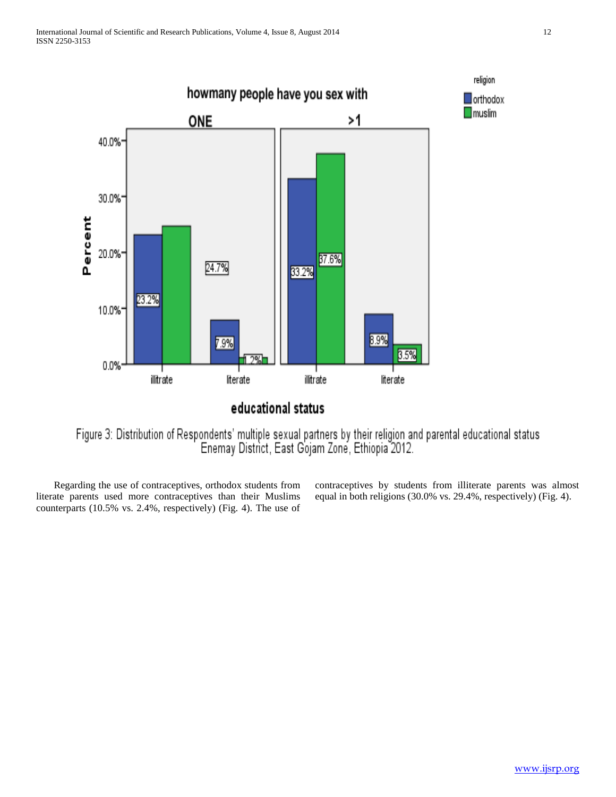

Figure 3: Distribution of Respondents' multiple sexual partners by their religion and parental educational status<br>Enemay District, East Gojam Zone, Ethiopia 2012.

 Regarding the use of contraceptives, orthodox students from literate parents used more contraceptives than their Muslims counterparts (10.5% vs. 2.4%, respectively) (Fig. 4). The use of contraceptives by students from illiterate parents was almost equal in both religions (30.0% vs. 29.4%, respectively) (Fig. 4).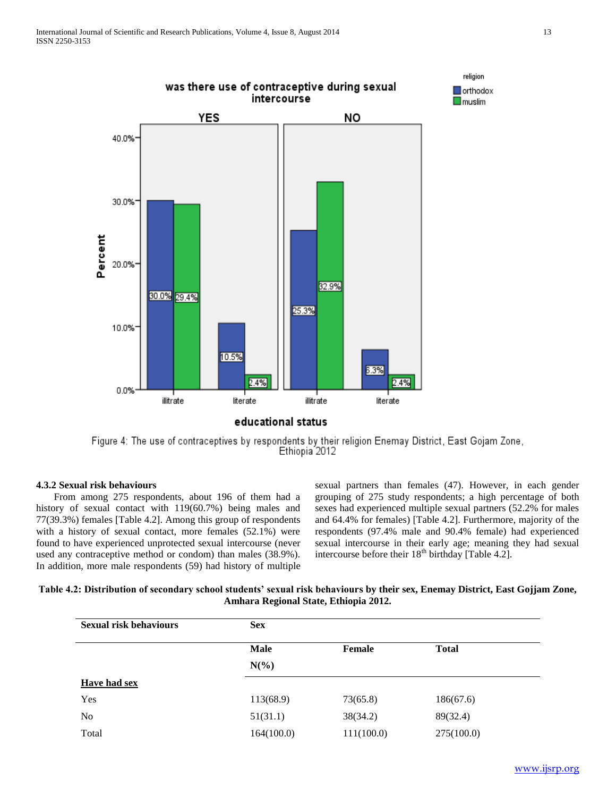

Figure 4: The use of contraceptives by respondents by their religion Enemay District, East Gojam Zone, Ethiopia 2012

## **4.3.2 Sexual risk behaviours**

 From among 275 respondents, about 196 of them had a history of sexual contact with 119(60.7%) being males and 77(39.3%) females [Table 4.2]. Among this group of respondents with a history of sexual contact, more females (52.1%) were found to have experienced unprotected sexual intercourse (never used any contraceptive method or condom) than males (38.9%). In addition, more male respondents (59) had history of multiple sexual partners than females (47). However, in each gender grouping of 275 study respondents; a high percentage of both sexes had experienced multiple sexual partners (52.2% for males and 64.4% for females) [Table 4.2]. Furthermore, majority of the respondents (97.4% male and 90.4% female) had experienced sexual intercourse in their early age; meaning they had sexual intercourse before their  $18<sup>th</sup>$  birthday [Table 4.2].

**Table 4.2: Distribution of secondary school students' sexual risk behaviours by their sex, Enemay District, East Gojjam Zone, Amhara Regional State, Ethiopia 2012.**

| <b>Sexual risk behaviours</b> | <b>Sex</b> |               |              |
|-------------------------------|------------|---------------|--------------|
|                               | Male       | <b>Female</b> | <b>Total</b> |
|                               | $N(\%)$    |               |              |
| Have had sex                  |            |               |              |
| Yes                           | 113(68.9)  | 73(65.8)      | 186(67.6)    |
| No                            | 51(31.1)   | 38(34.2)      | 89(32.4)     |
| Total                         | 164(100.0) | 111(100.0)    | 275(100.0)   |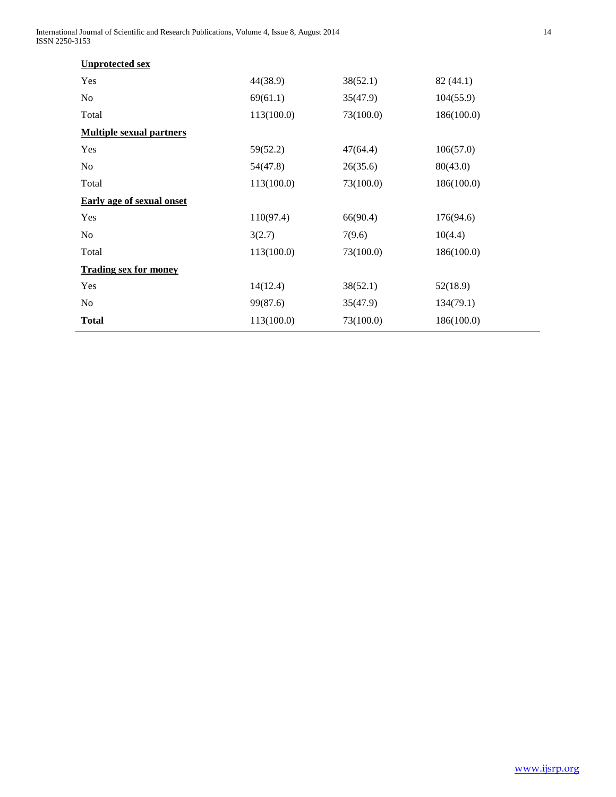International Journal of Scientific and Research Publications, Volume 4, Issue 8, August 2014 14 ISSN 2250-3153

| <b>Unprotected sex</b>           |            |           |            |
|----------------------------------|------------|-----------|------------|
| Yes                              | 44(38.9)   | 38(52.1)  | 82(44.1)   |
| N <sub>0</sub>                   | 69(61.1)   | 35(47.9)  | 104(55.9)  |
| Total                            | 113(100.0) | 73(100.0) | 186(100.0) |
| <b>Multiple sexual partners</b>  |            |           |            |
| Yes                              | 59(52.2)   | 47(64.4)  | 106(57.0)  |
| N <sub>o</sub>                   | 54(47.8)   | 26(35.6)  | 80(43.0)   |
| Total                            | 113(100.0) | 73(100.0) | 186(100.0) |
| <b>Early age of sexual onset</b> |            |           |            |
| Yes                              | 110(97.4)  | 66(90.4)  | 176(94.6)  |
| No                               | 3(2.7)     | 7(9.6)    | 10(4.4)    |
| Total                            | 113(100.0) | 73(100.0) | 186(100.0) |
| <b>Trading sex for money</b>     |            |           |            |
| Yes                              | 14(12.4)   | 38(52.1)  | 52(18.9)   |
| N <sub>o</sub>                   | 99(87.6)   | 35(47.9)  | 134(79.1)  |
| <b>Total</b>                     | 113(100.0) | 73(100.0) | 186(100.0) |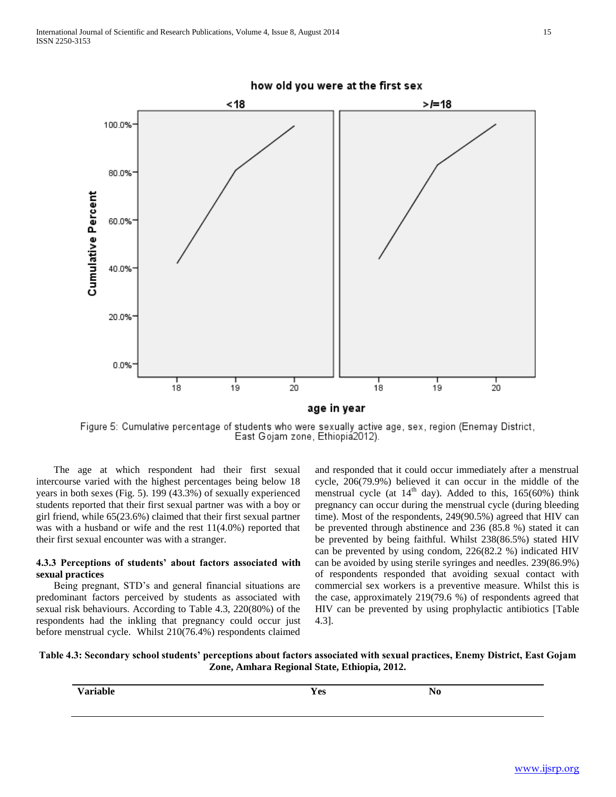

Figure 5: Cumulative percentage of students who were sexually active age, sex, region (Enemay District, East Gojam zone, Ethiopiá2012).

 The age at which respondent had their first sexual intercourse varied with the highest percentages being below 18 years in both sexes (Fig. 5). 199 (43.3%) of sexually experienced students reported that their first sexual partner was with a boy or girl friend, while 65(23.6%) claimed that their first sexual partner was with a husband or wife and the rest  $11(4.0\%)$  reported that their first sexual encounter was with a stranger.

## **4.3.3 Perceptions of students' about factors associated with sexual practices**

 Being pregnant, STD's and general financial situations are predominant factors perceived by students as associated with sexual risk behaviours. According to Table 4.3, 220(80%) of the respondents had the inkling that pregnancy could occur just before menstrual cycle. Whilst 210(76.4%) respondents claimed

and responded that it could occur immediately after a menstrual cycle, 206(79.9%) believed it can occur in the middle of the menstrual cycle (at  $14<sup>th</sup>$  day). Added to this, 165(60%) think pregnancy can occur during the menstrual cycle (during bleeding time). Most of the respondents, 249(90.5%) agreed that HIV can be prevented through abstinence and 236 (85.8 %) stated it can be prevented by being faithful. Whilst 238(86.5%) stated HIV can be prevented by using condom, 226(82.2 %) indicated HIV can be avoided by using sterile syringes and needles. 239(86.9%) of respondents responded that avoiding sexual contact with commercial sex workers is a preventive measure. Whilst this is the case, approximately 219(79.6 %) of respondents agreed that HIV can be prevented by using prophylactic antibiotics [Table 4.3].

# **Table 4.3: Secondary school students' perceptions about factors associated with sexual practices, Enemy District, East Gojam Zone, Amhara Regional State, Ethiopia, 2012.**

| . .<br>الطمنسور<br>л | $V_{\mathbf{c}c}$<br>1 L.J<br>. | NL |  |
|----------------------|---------------------------------|----|--|
|                      |                                 |    |  |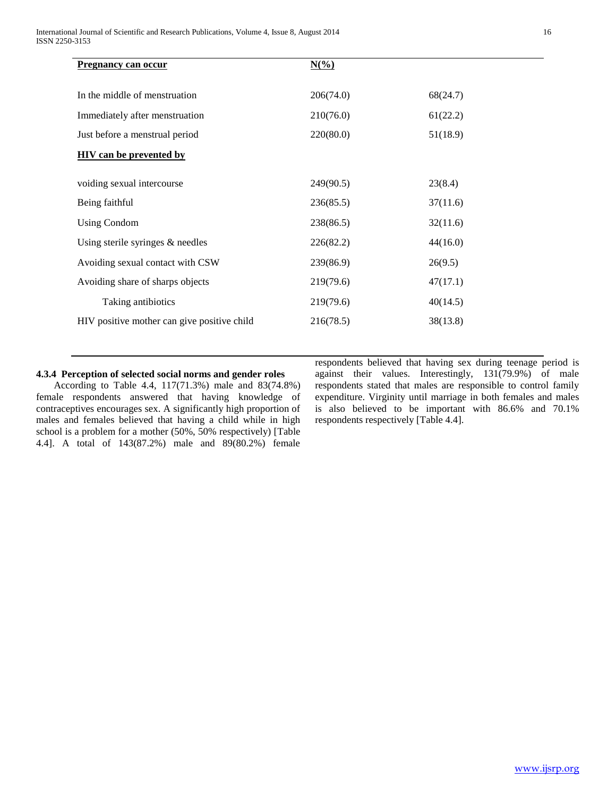| <b>Pregnancy can occur</b>                  | $N(\%)$   |          |  |
|---------------------------------------------|-----------|----------|--|
| In the middle of menstruation               | 206(74.0) | 68(24.7) |  |
| Immediately after menstruation              | 210(76.0) | 61(22.2) |  |
| Just before a menstrual period              | 220(80.0) | 51(18.9) |  |
| <b>HIV</b> can be prevented by              |           |          |  |
| voiding sexual intercourse                  | 249(90.5) | 23(8.4)  |  |
| Being faithful                              | 236(85.5) | 37(11.6) |  |
| <b>Using Condom</b>                         | 238(86.5) | 32(11.6) |  |
| Using sterile syringes $\&$ needles         | 226(82.2) | 44(16.0) |  |
| Avoiding sexual contact with CSW            | 239(86.9) | 26(9.5)  |  |
| Avoiding share of sharps objects            | 219(79.6) | 47(17.1) |  |
| Taking antibiotics                          | 219(79.6) | 40(14.5) |  |
| HIV positive mother can give positive child | 216(78.5) | 38(13.8) |  |

# **4.3.4 Perception of selected social norms and gender roles**

 According to Table 4.4, 117(71.3%) male and 83(74.8%) female respondents answered that having knowledge of contraceptives encourages sex. A significantly high proportion of males and females believed that having a child while in high school is a problem for a mother (50%, 50% respectively) [Table 4.4]. A total of 143(87.2%) male and 89(80.2%) female

respondents believed that having sex during teenage period is against their values. Interestingly, 131(79.9%) of male respondents stated that males are responsible to control family expenditure. Virginity until marriage in both females and males is also believed to be important with 86.6% and 70.1% respondents respectively [Table 4.4].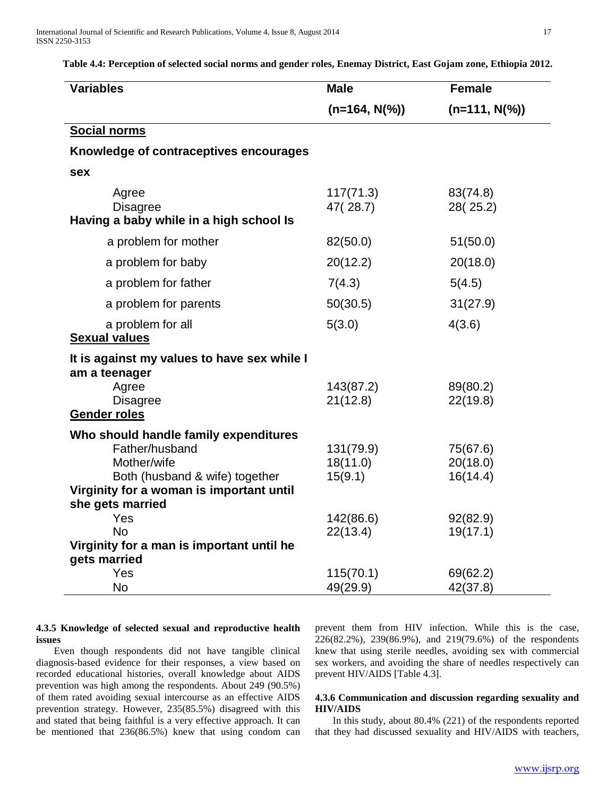**Table 4.4: Perception of selected social norms and gender roles, Enemay District, East Gojam zone, Ethiopia 2012.**

| <b>Variables</b>                                                    | <b>Male</b>           | <b>Female</b>        |
|---------------------------------------------------------------------|-----------------------|----------------------|
|                                                                     | $(n=164, N(\%))$      | $(n=111, N(\%))$     |
| <b>Social norms</b>                                                 |                       |                      |
| Knowledge of contraceptives encourages                              |                       |                      |
| sex                                                                 |                       |                      |
| Agree<br><b>Disagree</b><br>Having a baby while in a high school Is | 117(71.3)<br>47(28.7) | 83(74.8)<br>28(25.2) |
| a problem for mother                                                | 82(50.0)              | 51(50.0)             |
| a problem for baby                                                  | 20(12.2)              | 20(18.0)             |
| a problem for father                                                | 7(4.3)                | 5(4.5)               |
| a problem for parents                                               | 50(30.5)              | 31(27.9)             |
| a problem for all<br><b>Sexual values</b>                           | 5(3.0)                | 4(3.6)               |
| It is against my values to have sex while I<br>am a teenager        |                       |                      |
| Agree                                                               | 143(87.2)             | 89(80.2)             |
| <b>Disagree</b><br><b>Gender roles</b>                              | 21(12.8)              | 22(19.8)             |
| Who should handle family expenditures                               |                       |                      |
| Father/husband                                                      | 131(79.9)             | 75(67.6)             |
| Mother/wife                                                         | 18(11.0)              | 20(18.0)             |
| Both (husband & wife) together                                      | 15(9.1)               | 16(14.4)             |
| Virginity for a woman is important until                            |                       |                      |
| she gets married                                                    |                       |                      |
| Yes<br><b>No</b>                                                    | 142(86.6)<br>22(13.4) | 92(82.9)<br>19(17.1) |
| Virginity for a man is important until he                           |                       |                      |
| gets married                                                        |                       |                      |
| Yes                                                                 | 115(70.1)             | 69(62.2)             |
| <b>No</b>                                                           | 49(29.9)              | 42(37.8)             |

#### **4.3.5 Knowledge of selected sexual and reproductive health issues**

 Even though respondents did not have tangible clinical diagnosis-based evidence for their responses, a view based on recorded educational histories, overall knowledge about AIDS prevention was high among the respondents. About 249 (90.5%) of them rated avoiding sexual intercourse as an effective AIDS prevention strategy. However, 235(85.5%) disagreed with this and stated that being faithful is a very effective approach. It can be mentioned that 236(86.5%) knew that using condom can prevent them from HIV infection. While this is the case, 226(82.2%), 239(86.9%), and 219(79.6%) of the respondents knew that using sterile needles, avoiding sex with commercial sex workers, and avoiding the share of needles respectively can prevent HIV/AIDS [Table 4.3].

## **4.3.6 Communication and discussion regarding sexuality and HIV/AIDS**

 In this study, about 80.4% (221) of the respondents reported that they had discussed sexuality and HIV/AIDS with teachers,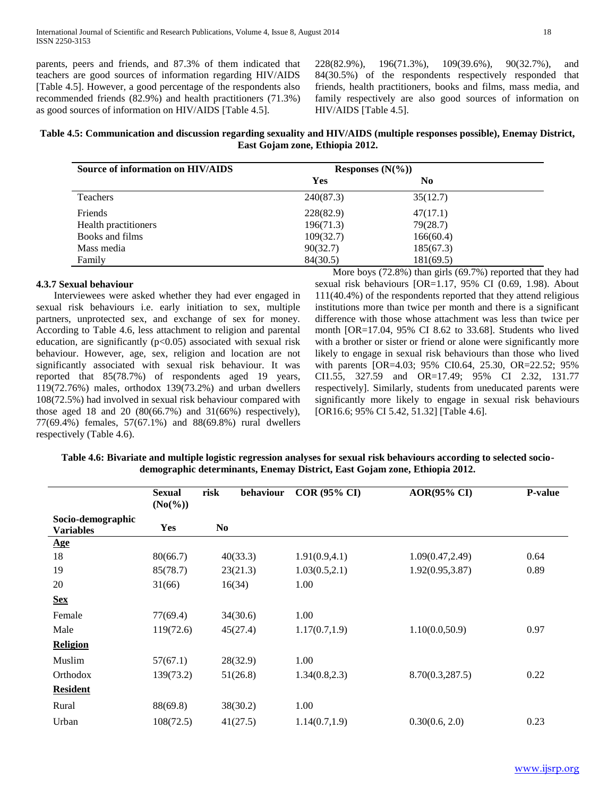parents, peers and friends, and 87.3% of them indicated that teachers are good sources of information regarding HIV/AIDS [Table 4.5]. However, a good percentage of the respondents also recommended friends (82.9%) and health practitioners (71.3%) as good sources of information on HIV/AIDS [Table 4.5].

228(82.9%), 196(71.3%), 109(39.6%), 90(32.7%), and 84(30.5%) of the respondents respectively responded that friends, health practitioners, books and films, mass media, and family respectively are also good sources of information on HIV/AIDS [Table 4.5].

# **Table 4.5: Communication and discussion regarding sexuality and HIV/AIDS (multiple responses possible), Enemay District, East Gojam zone, Ethiopia 2012.**

| Source of information on HIV/AIDS | Responses $(N(\%))$ |           |  |
|-----------------------------------|---------------------|-----------|--|
|                                   | <b>Yes</b>          | No        |  |
| Teachers                          | 240(87.3)           | 35(12.7)  |  |
| Friends                           | 228(82.9)           | 47(17.1)  |  |
| Health practitioners              | 196(71.3)           | 79(28.7)  |  |
| Books and films                   | 109(32.7)           | 166(60.4) |  |
| Mass media                        | 90(32.7)            | 185(67.3) |  |
| Family                            | 84(30.5)            | 181(69.5) |  |

# **4.3.7 Sexual behaviour**

 Interviewees were asked whether they had ever engaged in sexual risk behaviours i.e. early initiation to sex, multiple partners, unprotected sex, and exchange of sex for money. According to Table 4.6, less attachment to religion and parental education, are significantly  $(p<0.05)$  associated with sexual risk behaviour. However, age, sex, religion and location are not significantly associated with sexual risk behaviour. It was reported that 85(78.7%) of respondents aged 19 years, 119(72.76%) males, orthodox 139(73.2%) and urban dwellers 108(72.5%) had involved in sexual risk behaviour compared with those aged 18 and 20  $(80(66.7%)$  and  $31(66%)$  respectively), 77(69.4%) females, 57(67.1%) and 88(69.8%) rural dwellers respectively (Table 4.6).

 More boys (72.8%) than girls (69.7%) reported that they had sexual risk behaviours [OR=1.17, 95% CI (0.69, 1.98). About 111(40.4%) of the respondents reported that they attend religious institutions more than twice per month and there is a significant difference with those whose attachment was less than twice per month [OR=17.04, 95% CI 8.62 to 33.68]. Students who lived with a brother or sister or friend or alone were significantly more likely to engage in sexual risk behaviours than those who lived with parents [OR=4.03; 95% CI0.64, 25.30, OR=22.52; 95% CI1.55, 327.59 and OR=17.49; 95% CI 2.32, 131.77 respectively]. Similarly, students from uneducated parents were significantly more likely to engage in sexual risk behaviours [OR16.6; 95% CI 5.42, 51.32] [Table 4.6].

| Table 4.6: Bivariate and multiple logistic regression analyses for sexual risk behaviours according to selected socio- |
|------------------------------------------------------------------------------------------------------------------------|
| demographic determinants, Enemay District, East Gojam zone, Ethiopia 2012.                                             |

|                                       | <b>Sexual</b><br>$(No(\%))$ | risk<br>behaviour | <b>COR (95% CI)</b> | <b>AOR(95% CI)</b> | <b>P-value</b> |
|---------------------------------------|-----------------------------|-------------------|---------------------|--------------------|----------------|
| Socio-demographic<br><b>Variables</b> | Yes                         | N <sub>0</sub>    |                     |                    |                |
| Age                                   |                             |                   |                     |                    |                |
| 18                                    | 80(66.7)                    | 40(33.3)          | 1.91(0.9, 4.1)      | 1.09(0.47, 2.49)   | 0.64           |
| 19                                    | 85(78.7)                    | 23(21.3)          | 1.03(0.5, 2.1)      | 1.92(0.95, 3.87)   | 0.89           |
| 20                                    | 31(66)                      | 16(34)            | 1.00                |                    |                |
| <b>Sex</b>                            |                             |                   |                     |                    |                |
| Female                                | 77(69.4)                    | 34(30.6)          | 1.00                |                    |                |
| Male                                  | 119(72.6)                   | 45(27.4)          | 1.17(0.7, 1.9)      | 1.10(0.0,50.9)     | 0.97           |
| <b>Religion</b>                       |                             |                   |                     |                    |                |
| Muslim                                | 57(67.1)                    | 28(32.9)          | 1.00                |                    |                |
| Orthodox                              | 139(73.2)                   | 51(26.8)          | 1.34(0.8, 2.3)      | 8.70(0.3, 287.5)   | 0.22           |
| <b>Resident</b>                       |                             |                   |                     |                    |                |
| Rural                                 | 88(69.8)                    | 38(30.2)          | 1.00                |                    |                |
| Urban                                 | 108(72.5)                   | 41(27.5)          | 1.14(0.7, 1.9)      | 0.30(0.6, 2.0)     | 0.23           |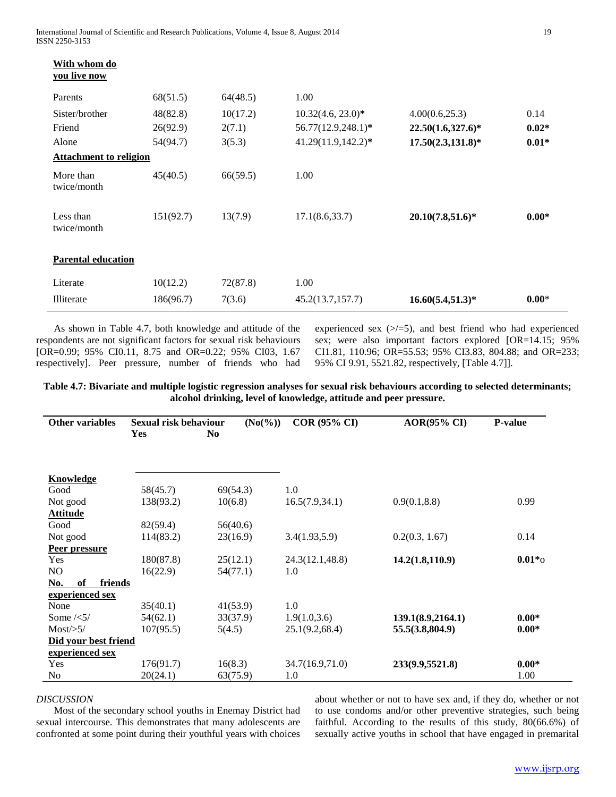| With whom do<br>you live now  |           |          |                      |                      |         |
|-------------------------------|-----------|----------|----------------------|----------------------|---------|
| Parents                       | 68(51.5)  | 64(48.5) | 1.00                 |                      |         |
| Sister/brother                | 48(82.8)  | 10(17.2) | $10.32(4.6, 23.0)^*$ | 4.00(0.6,25.3)       | 0.14    |
| Friend                        | 26(92.9)  | 2(7.1)   | 56.77(12.9,248.1)*   | $22.50(1.6,327.6)^*$ | $0.02*$ |
| Alone                         | 54(94.7)  | 3(5.3)   | 41.29(11.9,142.2)*   | $17.50(2.3, 131.8)*$ | $0.01*$ |
| <b>Attachment to religion</b> |           |          |                      |                      |         |
| More than<br>twice/month      | 45(40.5)  | 66(59.5) | 1.00                 |                      |         |
| Less than<br>twice/month      | 151(92.7) | 13(7.9)  | 17.1(8.6,33.7)       | $20.10(7.8,51.6)*$   | $0.00*$ |
| <b>Parental education</b>     |           |          |                      |                      |         |
| Literate                      | 10(12.2)  | 72(87.8) | 1.00                 |                      |         |
| Illiterate                    | 186(96.7) | 7(3.6)   | 45.2(13.7, 157.7)    | $16.60(5.4,51.3)*$   | $0.00*$ |

 As shown in Table 4.7, both knowledge and attitude of the respondents are not significant factors for sexual risk behaviours [OR=0.99; 95% CI0.11, 8.75 and OR=0.22; 95% CI03, 1.67 respectively]. Peer pressure, number of friends who had

experienced sex  $(\geq 5)$ , and best friend who had experienced sex; were also important factors explored [OR=14.15; 95% CI1.81, 110.96; OR=55.53; 95% CI3.83, 804.88; and OR=233; 95% CI 9.91, 5521.82, respectively, [Table 4.7]].

**Table 4.7: Bivariate and multiple logistic regression analyses for sexual risk behaviours according to selected determinants; alcohol drinking, level of knowledge, attitude and peer pressure.**

| <b>Other variables</b>         | <b>Sexual risk behaviour</b> | $(No(\%))$     | <b>COR (95% CI)</b> | <b>AOR(95% CI)</b> | <b>P-value</b> |
|--------------------------------|------------------------------|----------------|---------------------|--------------------|----------------|
|                                | Yes                          | N <sub>0</sub> |                     |                    |                |
|                                |                              |                |                     |                    |                |
| Knowledge                      |                              |                |                     |                    |                |
| Good                           | 58(45.7)                     | 69(54.3)       | 1.0                 |                    |                |
| Not good                       | 138(93.2)                    | 10(6.8)        | 16.5(7.9, 34.1)     | 0.9(0.1, 8.8)      | 0.99           |
| <b>Attitude</b>                |                              |                |                     |                    |                |
| Good                           | 82(59.4)                     | 56(40.6)       |                     |                    |                |
| Not good                       | 114(83.2)                    | 23(16.9)       | 3.4(1.93,5.9)       | 0.2(0.3, 1.67)     | 0.14           |
| Peer pressure                  |                              |                |                     |                    |                |
| Yes                            | 180(87.8)                    | 25(12.1)       | 24.3(12.1,48.8)     | 14.2(1.8, 110.9)   | $0.01*_{0}$    |
| N <sub>O</sub>                 | 16(22.9)                     | 54(77.1)       | 1.0                 |                    |                |
| friends<br>of<br><u>No.</u>    |                              |                |                     |                    |                |
| experienced sex                |                              |                |                     |                    |                |
| None                           | 35(40.1)                     | 41(53.9)       | 1.0                 |                    |                |
| Some $\frac{\times 5}{\times}$ | 54(62.1)                     | 33(37.9)       | 1.9(1.0, 3.6)       | 139.1(8.9,2164.1)  | $0.00*$        |
| $Most \ge 5/$                  | 107(95.5)                    | 5(4.5)         | 25.1(9.2,68.4)      | 55.5(3.8,804.9)    | $0.00*$        |
| Did your best friend           |                              |                |                     |                    |                |
| experienced sex                |                              |                |                     |                    |                |
| Yes                            | 176(91.7)                    | 16(8.3)        | 34.7(16.9,71.0)     | 233(9.9,5521.8)    | $0.00*$        |
| N <sub>0</sub>                 | 20(24.1)                     | 63(75.9)       | 1.0                 |                    | 1.00           |

## *DISCUSSION*

 Most of the secondary school youths in Enemay District had sexual intercourse. This demonstrates that many adolescents are confronted at some point during their youthful years with choices about whether or not to have sex and, if they do, whether or not to use condoms and/or other preventive strategies, such being faithful. According to the results of this study, 80(66.6%) of sexually active youths in school that have engaged in premarital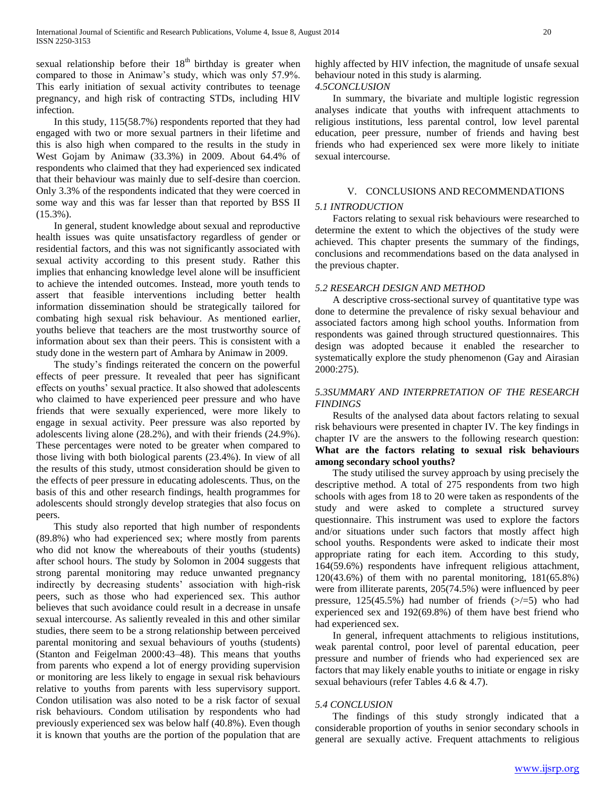sexual relationship before their  $18<sup>th</sup>$  birthday is greater when compared to those in Animaw's study, which was only 57.9%. This early initiation of sexual activity contributes to teenage pregnancy, and high risk of contracting STDs, including HIV infection.

 In this study, 115(58.7%) respondents reported that they had engaged with two or more sexual partners in their lifetime and this is also high when compared to the results in the study in West Gojam by Animaw (33.3%) in 2009. About 64.4% of respondents who claimed that they had experienced sex indicated that their behaviour was mainly due to self-desire than coercion. Only 3.3% of the respondents indicated that they were coerced in some way and this was far lesser than that reported by BSS II (15.3%).

 In general, student knowledge about sexual and reproductive health issues was quite unsatisfactory regardless of gender or residential factors, and this was not significantly associated with sexual activity according to this present study. Rather this implies that enhancing knowledge level alone will be insufficient to achieve the intended outcomes. Instead, more youth tends to assert that feasible interventions including better health information dissemination should be strategically tailored for combating high sexual risk behaviour. As mentioned earlier, youths believe that teachers are the most trustworthy source of information about sex than their peers. This is consistent with a study done in the western part of Amhara by Animaw in 2009.

 The study's findings reiterated the concern on the powerful effects of peer pressure. It revealed that peer has significant effects on youths' sexual practice. It also showed that adolescents who claimed to have experienced peer pressure and who have friends that were sexually experienced, were more likely to engage in sexual activity. Peer pressure was also reported by adolescents living alone (28.2%), and with their friends (24.9%). These percentages were noted to be greater when compared to those living with both biological parents (23.4%). In view of all the results of this study, utmost consideration should be given to the effects of peer pressure in educating adolescents. Thus, on the basis of this and other research findings, health programmes for adolescents should strongly develop strategies that also focus on peers.

 This study also reported that high number of respondents (89.8%) who had experienced sex; where mostly from parents who did not know the whereabouts of their youths (students) after school hours. The study by Solomon in 2004 suggests that strong parental monitoring may reduce unwanted pregnancy indirectly by decreasing students' association with high-risk peers, such as those who had experienced sex. This author believes that such avoidance could result in a decrease in unsafe sexual intercourse. As saliently revealed in this and other similar studies, there seem to be a strong relationship between perceived parental monitoring and sexual behaviours of youths (students) (Stanton and Feigelman 2000:43–48). This means that youths from parents who expend a lot of energy providing supervision or monitoring are less likely to engage in sexual risk behaviours relative to youths from parents with less supervisory support. Condon utilisation was also noted to be a risk factor of sexual risk behaviours. Condom utilisation by respondents who had previously experienced sex was below half (40.8%). Even though it is known that youths are the portion of the population that are

highly affected by HIV infection, the magnitude of unsafe sexual behaviour noted in this study is alarming.

*4.5CONCLUSION*

 In summary, the bivariate and multiple logistic regression analyses indicate that youths with infrequent attachments to religious institutions, less parental control, low level parental education, peer pressure, number of friends and having best friends who had experienced sex were more likely to initiate sexual intercourse.

## V. CONCLUSIONS AND RECOMMENDATIONS

#### *5.1 INTRODUCTION*

 Factors relating to sexual risk behaviours were researched to determine the extent to which the objectives of the study were achieved. This chapter presents the summary of the findings, conclusions and recommendations based on the data analysed in the previous chapter.

#### *5.2 RESEARCH DESIGN AND METHOD*

 A descriptive cross-sectional survey of quantitative type was done to determine the prevalence of risky sexual behaviour and associated factors among high school youths. Information from respondents was gained through structured questionnaires. This design was adopted because it enabled the researcher to systematically explore the study phenomenon (Gay and Airasian 2000:275).

## *5.3SUMMARY AND INTERPRETATION OF THE RESEARCH FINDINGS*

 Results of the analysed data about factors relating to sexual risk behaviours were presented in chapter IV. The key findings in chapter IV are the answers to the following research question: **What are the factors relating to sexual risk behaviours among secondary school youths?**

 The study utilised the survey approach by using precisely the descriptive method. A total of 275 respondents from two high schools with ages from 18 to 20 were taken as respondents of the study and were asked to complete a structured survey questionnaire. This instrument was used to explore the factors and/or situations under such factors that mostly affect high school youths. Respondents were asked to indicate their most appropriate rating for each item. According to this study, 164(59.6%) respondents have infrequent religious attachment,  $120(43.6%)$  of them with no parental monitoring,  $181(65.8%)$ were from illiterate parents, 205(74.5%) were influenced by peer pressure, 125(45.5%) had number of friends (>/=5) who had experienced sex and 192(69.8%) of them have best friend who had experienced sex.

 In general, infrequent attachments to religious institutions, weak parental control, poor level of parental education, peer pressure and number of friends who had experienced sex are factors that may likely enable youths to initiate or engage in risky sexual behaviours (refer Tables 4.6 & 4.7).

## *5.4 CONCLUSION*

 The findings of this study strongly indicated that a considerable proportion of youths in senior secondary schools in general are sexually active. Frequent attachments to religious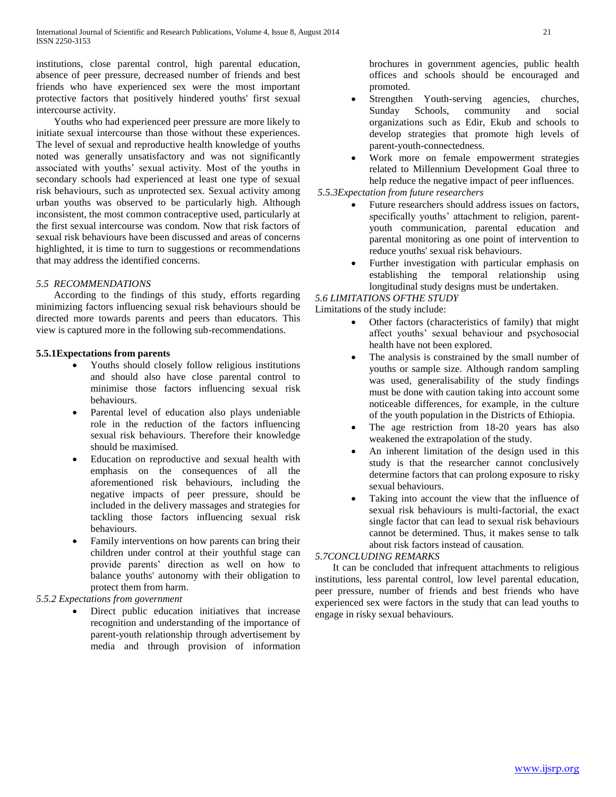institutions, close parental control, high parental education, absence of peer pressure, decreased number of friends and best friends who have experienced sex were the most important protective factors that positively hindered youths' first sexual intercourse activity.

 Youths who had experienced peer pressure are more likely to initiate sexual intercourse than those without these experiences. The level of sexual and reproductive health knowledge of youths noted was generally unsatisfactory and was not significantly associated with youths' sexual activity. Most of the youths in secondary schools had experienced at least one type of sexual risk behaviours, such as unprotected sex. Sexual activity among urban youths was observed to be particularly high. Although inconsistent, the most common contraceptive used, particularly at the first sexual intercourse was condom. Now that risk factors of sexual risk behaviours have been discussed and areas of concerns highlighted, it is time to turn to suggestions or recommendations that may address the identified concerns.

# *5.5 RECOMMENDATIONS*

 According to the findings of this study, efforts regarding minimizing factors influencing sexual risk behaviours should be directed more towards parents and peers than educators. This view is captured more in the following sub-recommendations.

## **5.5.1Expectations from parents**

- Youths should closely follow religious institutions and should also have close parental control to minimise those factors influencing sexual risk behaviours.
- Parental level of education also plays undeniable role in the reduction of the factors influencing sexual risk behaviours. Therefore their knowledge should be maximised.
- Education on reproductive and sexual health with emphasis on the consequences of all the aforementioned risk behaviours, including the negative impacts of peer pressure, should be included in the delivery massages and strategies for tackling those factors influencing sexual risk behaviours.
- Family interventions on how parents can bring their children under control at their youthful stage can provide parents' direction as well on how to balance youths' autonomy with their obligation to protect them from harm.

# *5.5.2 Expectations from government*

 Direct public education initiatives that increase recognition and understanding of the importance of parent-youth relationship through advertisement by media and through provision of information brochures in government agencies, public health offices and schools should be encouraged and promoted.

- Strengthen Youth-serving agencies, churches, Sunday Schools, community and social organizations such as Edir, Ekub and schools to develop strategies that promote high levels of parent-youth-connectedness.
- Work more on female empowerment strategies related to Millennium Development Goal three to help reduce the negative impact of peer influences.

*5.5.3Expectation from future researchers*

- Future researchers should address issues on factors, specifically youths' attachment to religion, parentyouth communication, parental education and parental monitoring as one point of intervention to reduce youths' sexual risk behaviours.
- Further investigation with particular emphasis on establishing the temporal relationship using longitudinal study designs must be undertaken.

# *5.6 LIMITATIONS OFTHE STUDY*

Limitations of the study include:

- Other factors (characteristics of family) that might affect youths' sexual behaviour and psychosocial health have not been explored.
- The analysis is constrained by the small number of youths or sample size. Although random sampling was used, generalisability of the study findings must be done with caution taking into account some noticeable differences, for example, in the culture of the youth population in the Districts of Ethiopia.
- The age restriction from 18-20 years has also weakened the extrapolation of the study.
- An inherent limitation of the design used in this study is that the researcher cannot conclusively determine factors that can prolong exposure to risky sexual behaviours.
- Taking into account the view that the influence of sexual risk behaviours is multi-factorial, the exact single factor that can lead to sexual risk behaviours cannot be determined. Thus, it makes sense to talk about risk factors instead of causation.

## *5.7CONCLUDING REMARKS*

 It can be concluded that infrequent attachments to religious institutions, less parental control, low level parental education, peer pressure, number of friends and best friends who have experienced sex were factors in the study that can lead youths to engage in risky sexual behaviours.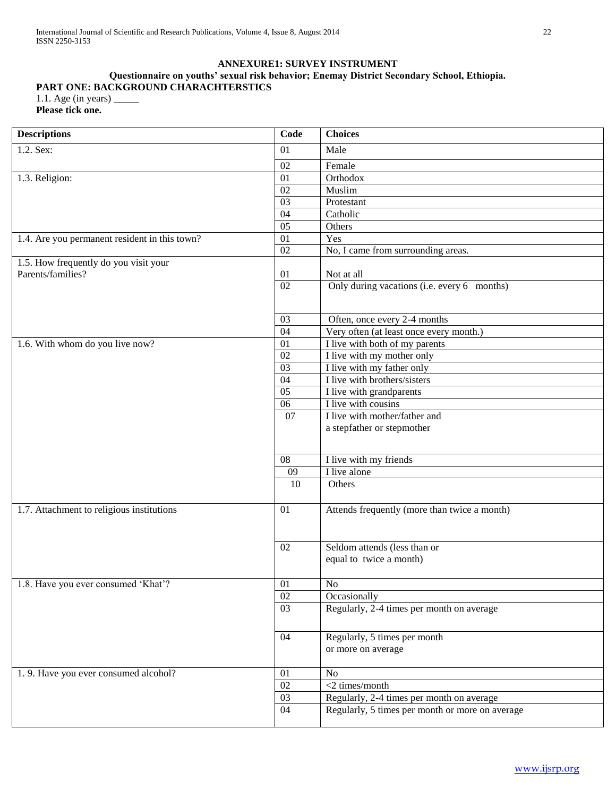# **ANNEXURE1: SURVEY INSTRUMENT**

# **Questionnaire on youths' sexual risk behavior; Enemay District Secondary School, Ethiopia. PART ONE: BACKGROUND CHARACHTERSTICS**

| Please tick one. |
|------------------|

| <b>Descriptions</b>                                        | Code            | <b>Choices</b>                                          |
|------------------------------------------------------------|-----------------|---------------------------------------------------------|
| 1.2. Sex:                                                  | 01              | Male                                                    |
|                                                            | 02              | Female                                                  |
| 1.3. Religion:                                             | 01              | Orthodox                                                |
|                                                            | 02              | Muslim                                                  |
|                                                            | 03              | Protestant                                              |
|                                                            | 04              | Catholic                                                |
|                                                            | 05              | Others                                                  |
| 1.4. Are you permanent resident in this town?              | 01              | Yes                                                     |
|                                                            | 02              | No, I came from surrounding areas.                      |
| 1.5. How frequently do you visit your<br>Parents/families? | 01              | Not at all                                              |
|                                                            | $\overline{02}$ | Only during vacations (i.e. every 6 months)             |
|                                                            | 03              | Often, once every 2-4 months                            |
|                                                            | $\overline{04}$ | Very often (at least once every month.)                 |
| 1.6. With whom do you live now?                            | 01              | I live with both of my parents                          |
|                                                            | $\overline{02}$ | I live with my mother only                              |
|                                                            | $\overline{03}$ | I live with my father only                              |
|                                                            | $\overline{04}$ | I live with brothers/sisters                            |
|                                                            | 0 <sub>5</sub>  | I live with grandparents                                |
|                                                            | $\overline{06}$ | I live with cousins                                     |
|                                                            | 07              | I live with mother/father and                           |
|                                                            |                 | a stepfather or stepmother                              |
|                                                            | 08              | I live with my friends                                  |
|                                                            | 09              | I live alone                                            |
|                                                            | 10              | Others                                                  |
| 1.7. Attachment to religious institutions                  | 01              | Attends frequently (more than twice a month)            |
|                                                            | 02              | Seldom attends (less than or<br>equal to twice a month) |
| 1.8. Have you ever consumed 'Khat'?                        | 01              | $\rm No$                                                |
|                                                            | 02              | Occasionally                                            |
|                                                            | 03              | Regularly, 2-4 times per month on average               |
|                                                            | 04              | Regularly, 5 times per month<br>or more on average      |
| 1.9. Have you ever consumed alcohol?                       | 01              | N <sub>o</sub>                                          |
|                                                            | 02              | <2 times/month                                          |
|                                                            | 03              | Regularly, 2-4 times per month on average               |
|                                                            | 04              | Regularly, 5 times per month or more on average         |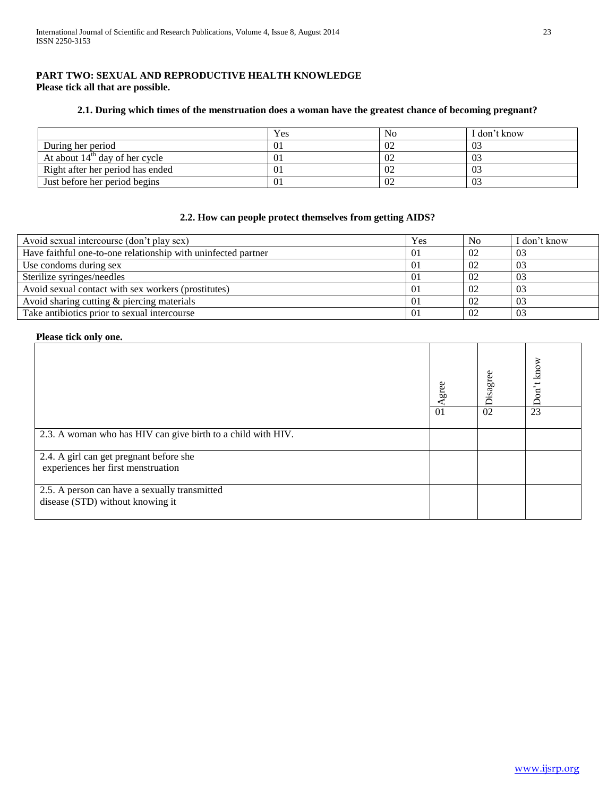# **PART TWO: SEXUAL AND REPRODUCTIVE HEALTH KNOWLEDGE Please tick all that are possible.**

# **2.1. During which times of the menstruation does a woman have the greatest chance of becoming pregnant?**

|                                  | Yes | No | I don't know   |
|----------------------------------|-----|----|----------------|
| During her period                |     | 02 | 0 <sup>2</sup> |
| At about $14th$ day of her cycle |     | 02 | 03             |
| Right after her period has ended |     | 02 | 03             |
| Just before her period begins    |     | 02 | 03             |

# **2.2. How can people protect themselves from getting AIDS?**

| Avoid sexual intercourse (don't play sex)                     | Yes | N <sub>0</sub> | I don't know |
|---------------------------------------------------------------|-----|----------------|--------------|
| Have faithful one-to-one relationship with uninfected partner | 01  | 02             | -03          |
| Use condoms during sex                                        | 01  | 0 <sub>2</sub> | -03          |
| Sterilize syringes/needles                                    |     | 02             | 03           |
| Avoid sexual contact with sex workers (prostitutes)           | 01  | 0 <sub>2</sub> | -03          |
| Avoid sharing cutting & piercing materials                    | 01  | 0 <sub>2</sub> | -03          |
| Take antibiotics prior to sexual intercourse                  | 01  |                | 03           |

## **Please tick only one.**

|                                                                                   | gree<br>01 | Disagree<br>02 | on't know<br>$\Box$<br>23 |
|-----------------------------------------------------------------------------------|------------|----------------|---------------------------|
| 2.3. A woman who has HIV can give birth to a child with HIV.                      |            |                |                           |
| 2.4. A girl can get pregnant before she<br>experiences her first menstruation     |            |                |                           |
| 2.5. A person can have a sexually transmitted<br>disease (STD) without knowing it |            |                |                           |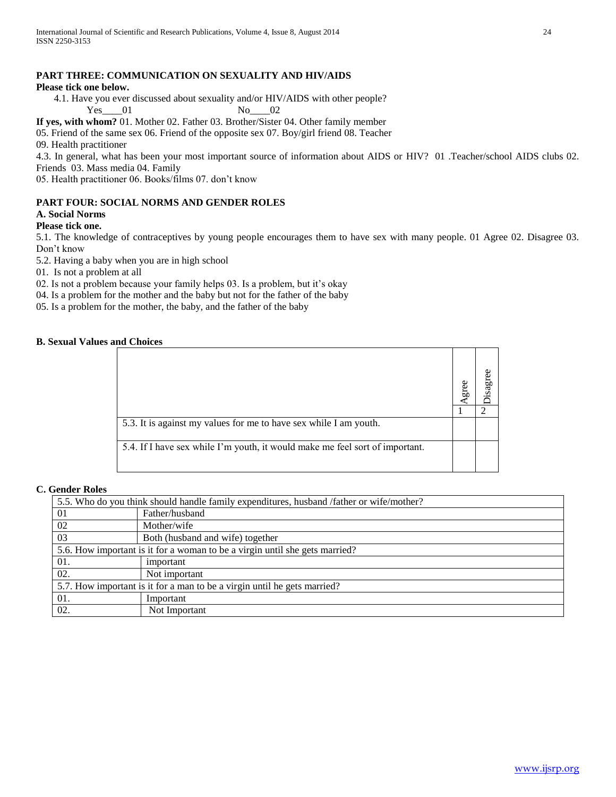# **PART THREE: COMMUNICATION ON SEXUALITY AND HIV/AIDS**

## **Please tick one below.**

 4.1. Have you ever discussed about sexuality and/or HIV/AIDS with other people? Yes\_\_\_\_01 No\_\_\_02

**If yes, with whom?** 01. Mother 02. Father 03. Brother/Sister 04. Other family member

05. Friend of the same sex 06. Friend of the opposite sex 07. Boy/girl friend 08. Teacher

09. Health practitioner

4.3. In general, what has been your most important source of information about AIDS or HIV? 01 .Teacher/school AIDS clubs 02. Friends 03. Mass media 04. Family

05. Health practitioner 06. Books/films 07. don't know

# **PART FOUR: SOCIAL NORMS AND GENDER ROLES**

# **A. Social Norms**

# **Please tick one.**

5.1. The knowledge of contraceptives by young people encourages them to have sex with many people. 01 Agree 02. Disagree 03. Don't know

5.2. Having a baby when you are in high school

01. Is not a problem at all

02. Is not a problem because your family helps 03. Is a problem, but it's okay

04. Is a problem for the mother and the baby but not for the father of the baby

05. Is a problem for the mother, the baby, and the father of the baby

# **B. Sexual Values and Choices**

|                                                                              | gree |  |
|------------------------------------------------------------------------------|------|--|
| 5.3. It is against my values for me to have sex while I am youth.            |      |  |
| 5.4. If I have sex while I'm youth, it would make me feel sort of important. |      |  |

## **C. Gender Roles**

| 5.5. Who do you think should handle family expenditures, husband /father or wife/mother? |                                  |  |  |
|------------------------------------------------------------------------------------------|----------------------------------|--|--|
| 01                                                                                       | Father/husband                   |  |  |
| 02                                                                                       | Mother/wife                      |  |  |
| 03                                                                                       | Both (husband and wife) together |  |  |
| 5.6. How important is it for a woman to be a virgin until she gets married?              |                                  |  |  |
| 01.                                                                                      | important                        |  |  |
| 02.                                                                                      | Not important                    |  |  |
| 5.7. How important is it for a man to be a virgin until he gets married?                 |                                  |  |  |
| 01.                                                                                      | Important                        |  |  |
| 02.                                                                                      | Not Important                    |  |  |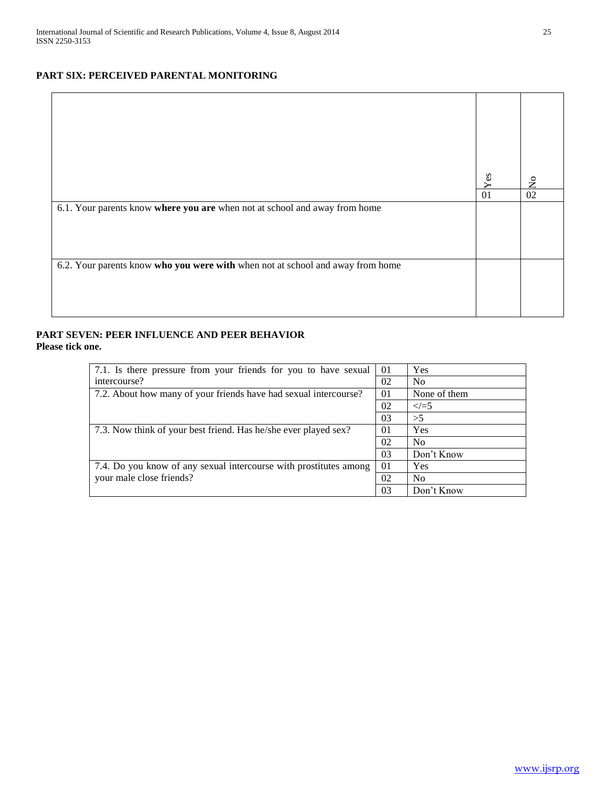# **PART SIX: PERCEIVED PARENTAL MONITORING**

|                                                                                | Yes | $\tilde{\mathbf{z}}$ |
|--------------------------------------------------------------------------------|-----|----------------------|
|                                                                                | 01  | 02                   |
| 6.1. Your parents know where you are when not at school and away from home     |     |                      |
| 6.2. Your parents know who you were with when not at school and away from home |     |                      |

# **PART SEVEN: PEER INFLUENCE AND PEER BEHAVIOR Please tick one.**

| 7.1. Is there pressure from your friends for you to have sexual   | -01 | Yes            |
|-------------------------------------------------------------------|-----|----------------|
| intercourse?                                                      | 02  | N <sub>0</sub> |
| 7.2. About how many of your friends have had sexual intercourse?  | 01  | None of them   |
|                                                                   | 02  | $\leq$ = 5     |
|                                                                   | 03  | >5             |
| 7.3. Now think of your best friend. Has he/she ever played sex?   | 01  | Yes            |
|                                                                   | 02  | <b>No</b>      |
|                                                                   | 03  | Don't Know     |
| 7.4. Do you know of any sexual intercourse with prostitutes among | 01  | Yes            |
| your male close friends?                                          | 02  | <b>No</b>      |
|                                                                   | 03  | Don't Know     |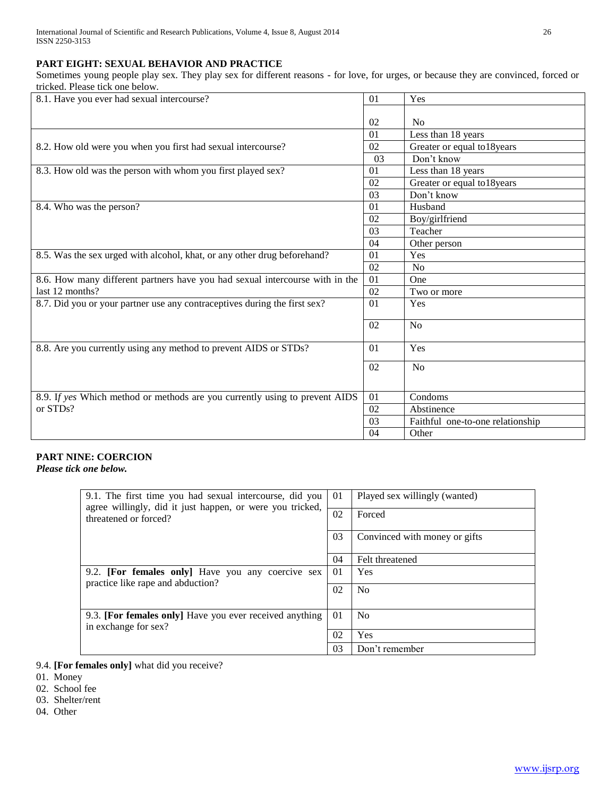# **PART EIGHT: SEXUAL BEHAVIOR AND PRACTICE**

Sometimes young people play sex. They play sex for different reasons - for love, for urges, or because they are convinced, forced or tricked. Please tick one below.

| 8.1. Have you ever had sexual intercourse?                                   | 01 | Yes                              |
|------------------------------------------------------------------------------|----|----------------------------------|
|                                                                              |    |                                  |
|                                                                              | 02 | N <sub>0</sub>                   |
|                                                                              | 01 | Less than 18 years               |
| 8.2. How old were you when you first had sexual intercourse?                 | 02 | Greater or equal to18years       |
|                                                                              | 03 | Don't know                       |
| 8.3. How old was the person with whom you first played sex?                  | 01 | Less than 18 years               |
|                                                                              | 02 | Greater or equal to18years       |
|                                                                              | 03 | Don't know                       |
| 8.4. Who was the person?                                                     | 01 | Husband                          |
|                                                                              | 02 | Boy/girlfriend                   |
|                                                                              | 03 | Teacher                          |
|                                                                              | 04 | Other person                     |
| 8.5. Was the sex urged with alcohol, khat, or any other drug beforehand?     | 01 | Yes                              |
|                                                                              | 02 | No                               |
| 8.6. How many different partners have you had sexual intercourse with in the | 01 | One                              |
| last 12 months?                                                              | 02 | Two or more                      |
| 8.7. Did you or your partner use any contraceptives during the first sex?    | 01 | Yes                              |
|                                                                              |    |                                  |
|                                                                              | 02 | N <sub>o</sub>                   |
| 8.8. Are you currently using any method to prevent AIDS or STDs?             | 01 | Yes                              |
|                                                                              | 02 | N <sub>o</sub>                   |
|                                                                              |    |                                  |
| 8.9. If yes Which method or methods are you currently using to prevent AIDS  | 01 | Condoms                          |
| or STDs?                                                                     | 02 | Abstinence                       |
|                                                                              | 03 | Faithful one-to-one relationship |
|                                                                              | 04 | Other                            |

# **PART NINE: COERCION**

*Please tick one below.*

| 9.1. The first time you had sexual intercourse, did you                                | 01 | Played sex willingly (wanted) |
|----------------------------------------------------------------------------------------|----|-------------------------------|
| agree willingly, did it just happen, or were you tricked,<br>threatened or forced?     | 02 | Forced                        |
|                                                                                        | 03 | Convinced with money or gifts |
|                                                                                        | 04 | Felt threatened               |
| 9.2. [For females only] Have you any coercive sex<br>practice like rape and abduction? | 01 | Yes                           |
|                                                                                        | 02 | N <sub>0</sub>                |
|                                                                                        |    |                               |
| 9.3. [For females only] Have you ever received anything<br>in exchange for sex?        | 01 | N <sub>0</sub>                |
|                                                                                        |    | Yes                           |
|                                                                                        | 03 | Don't remember                |

- 9.4. **[For females only]** what did you receive?
- 01. Money
- 02. School fee
- 03. Shelter/rent
- 04. Other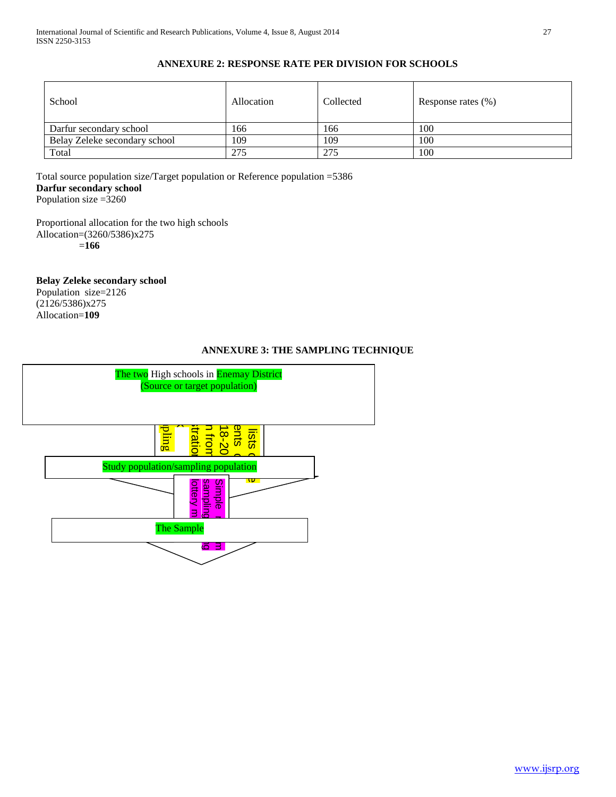# **ANNEXURE 2: RESPONSE RATE PER DIVISION FOR SCHOOLS**

| School                        | Allocation | Collected | Response rates (%) |
|-------------------------------|------------|-----------|--------------------|
| Darfur secondary school       | 166        | 166       | 100                |
| Belay Zeleke secondary school | 109        | 109       | 100                |
| Total                         | 275        | 275       | 100                |

Total source population size/Target population or Reference population =5386 **Darfur secondary school** Population size =3260

Proportional allocation for the two high schools Allocation=(3260/5386)x275

=**166**

**Belay Zeleke secondary school**

Population size=2126 (2126/5386)x275 Allocation=**109**

# **ANNEXURE 3: THE SAMPLING TECHNIQUE**

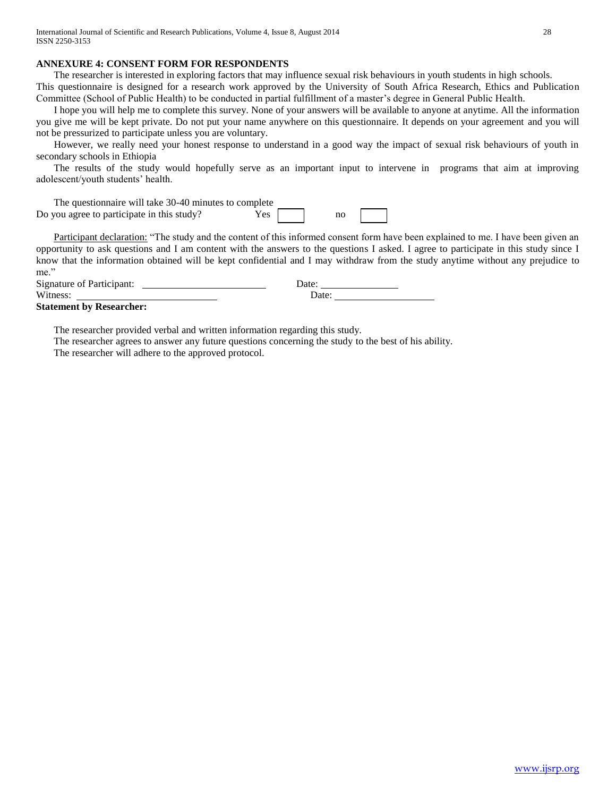## **ANNEXURE 4: CONSENT FORM FOR RESPONDENTS**

The researcher is interested in exploring factors that may influence sexual risk behaviours in youth students in high schools.

This questionnaire is designed for a research work approved by the University of South Africa Research, Ethics and Publication Committee (School of Public Health) to be conducted in partial fulfillment of a master's degree in General Public Health.

 I hope you will help me to complete this survey. None of your answers will be available to anyone at anytime. All the information you give me will be kept private. Do not put your name anywhere on this questionnaire. It depends on your agreement and you will not be pressurized to participate unless you are voluntary.

 However, we really need your honest response to understand in a good way the impact of sexual risk behaviours of youth in secondary schools in Ethiopia

 The results of the study would hopefully serve as an important input to intervene in programs that aim at improving adolescent/youth students' health.

| The questionnaire will take 30-40 minutes to complete |      |    |  |
|-------------------------------------------------------|------|----|--|
| Do you agree to participate in this study?            | Yes. | no |  |

Participant declaration: "The study and the content of this informed consent form have been explained to me. I have been given an opportunity to ask questions and I am content with the answers to the questions I asked. I agree to participate in this study since I know that the information obtained will be kept confidential and I may withdraw from the study anytime without any prejudice to me."

| <b>Signature of Participant:</b> | Jate <sup>.</sup> |
|----------------------------------|-------------------|
| Witness:                         | Jate:             |

**Statement by Researcher:** 

The researcher provided verbal and written information regarding this study.

The researcher agrees to answer any future questions concerning the study to the best of his ability.

The researcher will adhere to the approved protocol.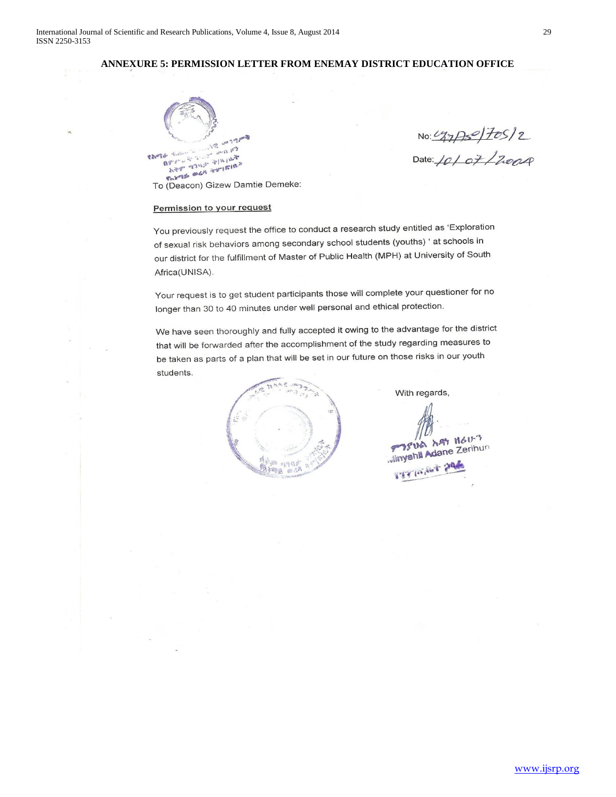# **ANNEXURE 5: PERMISSION LETTER FROM ENEMAY DISTRICT EDUCATION OFFICE**



No: 127/750/2<br>Date: 10/07/2004

#### Permission to your request

You previously request the office to conduct a research study entitled as 'Exploration of sexual risk behaviors among secondary school students (youths) ' at schools in our district for the fulfillment of Master of Public Health (MPH) at University of South Africa(UNISA).

Your request is to get student participants those will complete your questioner for no longer than 30 to 40 minutes under well personal and ethical protection.

We have seen thoroughly and fully accepted it owing to the advantage for the district that will be forwarded after the accomplishment of the study regarding measures to be taken as parts of a plan that will be set in our future on those risks in our youth students.



With regards,

TV HOUT BETTERNET PAS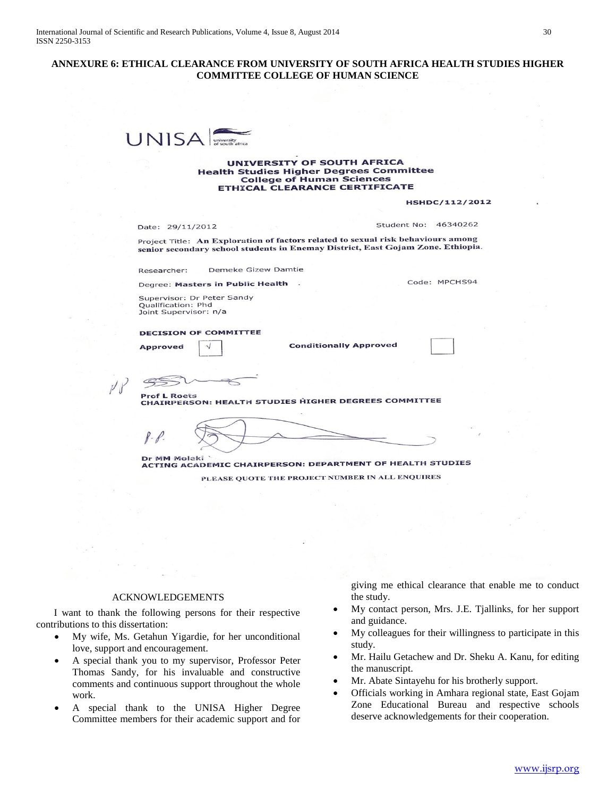## **ANNEXURE 6: ETHICAL CLEARANCE FROM UNIVERSITY OF SOUTH AFRICA HEALTH STUDIES HIGHER COMMITTEE COLLEGE OF HUMAN SCIENCE**



#### UNIVERSITY OF SOUTH AFRICA **Health Studies Higher Degrees Committee College of Human Sciences** ETHICAL CLEARANCE CERTIFICATE

**HSHDC/112/2012** 

Date: 29/11/2012

Student No: 46340262

Project Title: An Exploration of factors related to sexual risk behaviours among senior secondary school students in Enemay District, East Gojam Zone. Ethiopia.

Demeke Gizew Damtie Researcher:

Degree: Masters in Public Health

Code: MPCHS94

Supervisor: Dr Peter Sandy Qualification: Phd<br>Joint Supervisor: n/a

**DECISION OF COMMITTEE** 

**Approved** 

**Conditionally Approved** 



**Prof L Roets** PIOI L ROGES<br>CHAIRPERSON: HEALTH STUDIES HIGHER DEGREES COMMITTEE

Dr MM Moleki Dr MM MOISKI<br>ACTING ACADEMIC CHAIRPERSON: DEPARTMENT OF HEALTH STUDIES PLEASE QUOTE THE PROJECT NUMBER IN ALL ENQUIRES

#### ACKNOWLEDGEMENTS

 I want to thank the following persons for their respective contributions to this dissertation:

- My wife, Ms. Getahun Yigardie, for her unconditional love, support and encouragement.
- A special thank you to my supervisor, Professor Peter Thomas Sandy, for his invaluable and constructive comments and continuous support throughout the whole work.
- A special thank to the UNISA Higher Degree Committee members for their academic support and for

giving me ethical clearance that enable me to conduct the study.

- My contact person, Mrs. J.E. Tjallinks, for her support and guidance.
- My colleagues for their willingness to participate in this study.
- Mr. Hailu Getachew and Dr. Sheku A. Kanu, for editing the manuscript.
- Mr. Abate Sintayehu for his brotherly support.
- Officials working in Amhara regional state, East Gojam Zone Educational Bureau and respective schools deserve acknowledgements for their cooperation.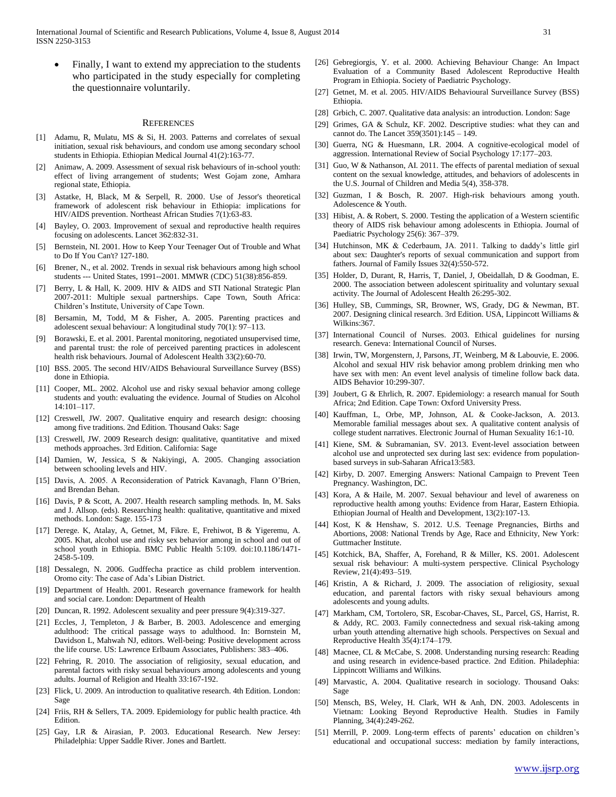International Journal of Scientific and Research Publications, Volume 4, Issue 8, August 2014 31 ISSN 2250-3153

 Finally, I want to extend my appreciation to the students who participated in the study especially for completing the questionnaire voluntarily.

#### **REFERENCES**

- [1] Adamu, R, Mulatu, MS & Si, H. 2003. Patterns and correlates of sexual initiation, sexual risk behaviours, and condom use among secondary school students in Ethiopia. Ethiopian Medical Journal 41(2):163-77.
- [2] Animaw, A. 2009. Assessment of sexual risk behaviours of in-school youth: effect of living arrangement of students; West Gojam zone, Amhara regional state, Ethiopia.
- [3] Astatke, H, Black, M & Serpell, R. 2000. Use of Jessor's theoretical framework of adolescent risk behaviour in Ethiopia: implications for HIV/AIDS prevention. Northeast African Studies 7(1):63-83.
- [4] Bayley, O. 2003. Improvement of sexual and reproductive health requires focusing on adolescents. Lancet 362:832-31.
- [5] Bernstein, NI. 2001. How to Keep Your Teenager Out of Trouble and What to Do If You Can't? 127-180.
- [6] Brener, N., et al. 2002. Trends in sexual risk behaviours among high school students --- United States, 1991--2001. MMWR (CDC) 51(38):856-859.
- [7] Berry, L & Hall, K. 2009. HIV & AIDS and STI National Strategic Plan 2007-2011: Multiple sexual partnerships. Cape Town, South Africa: Children's Institute, University of Cape Town.
- [8] Bersamin, M, Todd, M & Fisher, A. 2005. Parenting practices and adolescent sexual behaviour: A longitudinal study 70(1): 97–113.
- [9] Borawski, E. et al. 2001. Parental monitoring, negotiated unsupervised time, and parental trust: the role of perceived parenting practices in adolescent health risk behaviours. Journal of Adolescent Health 33(2):60-70.
- [10] BSS. 2005. The second HIV/AIDS Behavioural Surveillance Survey (BSS) done in Ethiopia.
- [11] Cooper, ML. 2002. Alcohol use and risky sexual behavior among college students and youth: evaluating the evidence. Journal of Studies on Alcohol 14:101–117.
- [12] Creswell, JW. 2007. Qualitative enquiry and research design: choosing among five traditions. 2nd Edition. Thousand Oaks: Sage
- [13] Creswell, JW. 2009 Research design: qualitative, quantitative and mixed methods approaches. 3rd Edition. California: Sage
- [14] Damien, W, Jessica, S & Nakiyingi, A. 2005. Changing association between schooling levels and HIV.
- [15] Davis, A. 2005. A Reconsideration of Patrick Kavanagh, Flann O'Brien, and Brendan Behan.
- [16] Davis, P & Scott, A. 2007. Health research sampling methods. In, M. Saks and J. Allsop. (eds). Researching health: qualitative, quantitative and mixed methods. London: Sage. 155-173
- [17] Derege. K, Atalay, A, Getnet, M, Fikre. E, Frehiwot, B & Yigeremu, A. 2005. Khat, alcohol use and risky sex behavior among in school and out of school youth in Ethiopia. BMC Public Health 5:109. doi:10.1186/1471- 2458-5-109.
- [18] Dessalegn, N. 2006. Gudffecha practice as child problem intervention. Oromo city: The case of Ada's Libian District.
- [19] Department of Health. 2001. Research governance framework for health and social care. London: Department of Health
- [20] Duncan, R. 1992. Adolescent sexuality and peer pressure 9(4):319-327.
- [21] Eccles, J, Templeton, J & Barber, B. 2003. Adolescence and emerging adulthood: The critical passage ways to adulthood. In: Bornstein M, Davidson L, Mahwah NJ, editors. Well-being: Positive development across the life course. US: Lawrence Erlbaum Associates, Publishers: 383–406.
- [22] Fehring, R. 2010. The association of religiosity, sexual education, and parental factors with risky sexual behaviours among adolescents and young adults. Journal of Religion and Health 33:167-192.
- [23] Flick, U. 2009. An introduction to qualitative research. 4th Edition. London: Sage
- [24] Friis, RH & Sellers, TA. 2009. Epidemiology for public health practice. 4th Edition.
- [25] Gay, LR & Airasian, P. 2003. Educational Research. New Jersey: Philadelphia: Upper Saddle River. Jones and Bartlett.
- [26] Gebregiorgis, Y. et al. 2000. Achieving Behaviour Change: An Impact Evaluation of a Community Based Adolescent Reproductive Health Program in Ethiopia. Society of Paediatric Psychology.
- [27] Getnet, M. et al. 2005. HIV/AIDS Behavioural Surveillance Survey (BSS) Ethiopia.
- [28] Grbich, C. 2007. Qualitative data analysis: an introduction. London: Sage
- [29] Grimes, GA & Schulz, KF. 2002. Descriptive studies: what they can and cannot do. The Lancet 359(3501):145 – 149.
- [30] Guerra, NG & Huesmann, LR. 2004. A cognitive-ecological model of aggression. International Review of Social Psychology 17:177–203.
- [31] Guo, W & Nathanson, AI. 2011. The effects of parental mediation of sexual content on the sexual knowledge, attitudes, and behaviors of adolescents in the U.S. Journal of Children and Media 5(4), 358-378.
- [32] Guzman, I & Bosch, R. 2007. High-risk behaviours among youth. Adolescence & Youth.
- [33] Hibist, A. & Robert, S. 2000. Testing the application of a Western scientific theory of AIDS risk behaviour among adolescents in Ethiopia. Journal of Paediatric Psychology 25(6): 367–379.
- [34] Hutchinson, MK & Cederbaum, JA. 2011. Talking to daddy's little girl about sex: Daughter's reports of sexual communication and support from fathers. Journal of Family Issues 32(4):550-572.
- [35] Holder, D, Durant, R, Harris, T, Daniel, J, Obeidallah, D & Goodman, E. 2000. The association between adolescent spirituality and voluntary sexual activity. The Journal of Adolescent Health 26:295-302.
- [36] Hulley, SB, Cummings, SR, Browner, WS, Grady, DG & Newman, BT. 2007. Designing clinical research. 3rd Edition. USA, Lippincott Williams & Wilkins:367.
- [37] International Council of Nurses. 2003. Ethical guidelines for nursing research. Geneva: International Council of Nurses.
- [38] Irwin, TW, Morgenstern, J, Parsons, JT, Weinberg, M & Labouvie, E. 2006. Alcohol and sexual HIV risk behavior among problem drinking men who have sex with men: An event level analysis of timeline follow back data. AIDS Behavior 10:299-307.
- [39] Joubert, G & Ehrlich, R. 2007. Epidemiology: a research manual for South Africa; 2nd Edition. Cape Town: Oxford University Press.
- [40] Kauffman, L, Orbe, MP, Johnson, AL & Cooke-Jackson, A. 2013. Memorable familial messages about sex. A qualitative content analysis of college student narratives. Electronic Journal of Human Sexuality 16:1-10.
- [41] Kiene, SM. & Subramanian, SV. 2013. Event-level association between alcohol use and unprotected sex during last sex: evidence from populationbased surveys in sub-Saharan Africa13:583.
- [42] Kirby, D. 2007. Emerging Answers: National Campaign to Prevent Teen Pregnancy. Washington, DC.
- [43] Kora, A & Haile, M. 2007. Sexual behaviour and level of awareness on reproductive health among youths: Evidence from Harar, Eastern Ethiopia. Ethiopian Journal of Health and Development, 13(2):107-13.
- [44] Kost, K & Henshaw, S. 2012. U.S. Teenage Pregnancies, Births and Abortions, 2008: National Trends by Age, Race and Ethnicity, New York: Guttmacher Institute.
- [45] Kotchick, BA, Shaffer, A, Forehand, R & Miller, KS. 2001. Adolescent sexual risk behaviour: A multi-system perspective. Clinical Psychology Review, 21(4):493–519.
- [46] Kristin, A & Richard, J. 2009. The association of religiosity, sexual education, and parental factors with risky sexual behaviours among adolescents and young adults.
- [47] Markham, CM, Tortolero, SR, Escobar-Chaves, SL, Parcel, GS, Harrist, R. & Addy, RC. 2003. Family connectedness and sexual risk-taking among urban youth attending alternative high schools. Perspectives on Sexual and Reproductive Health 35(4):174–179.
- [48] Macnee, CL & McCabe, S. 2008. Understanding nursing research: Reading and using research in evidence-based practice. 2nd Edition. Philadephia: Lippincott Williams and Wilkins.
- [49] Marvastic, A. 2004. Qualitative research in sociology. Thousand Oaks: Sage
- [50] Mensch, BS, Weley, H. Clark, WH & Anh, DN. 2003. Adolescents in Vietnam: Looking Beyond Reproductive Health. Studies in Family Planning, 34(4):249-262.
- [51] Merrill, P. 2009. Long-term effects of parents' education on children's educational and occupational success: mediation by family interactions,